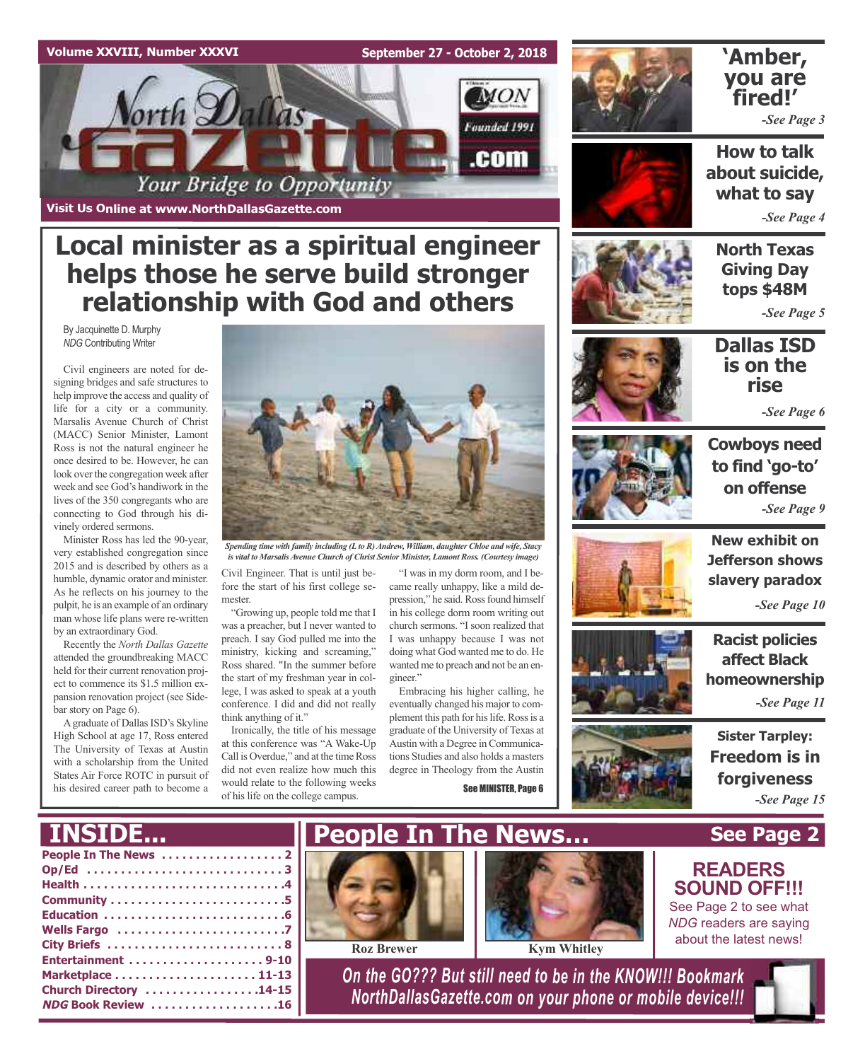#### **Volume XXVIII, Number XXXVI**

**September 27 - October 2, 2018**



**Visit Us Online at www.NorthDallasGazette.com**

# **Local minister as a spiritual engineer helps those he serve build stronger relationship with God and others**

By Jacquinette D. Murphy *NDG* Contributing Writer

Civil engineers are noted for designing bridges and safe structures to help improve the access and quality of life for a city or a community. Marsalis Avenue Church of Christ (MACC) Senior Minister, Lamont Ross is not the natural engineer he once desired to be. However, he can look over the congregation week after week and see God's handiwork in the lives of the 350 congregants who are connecting to God through his divinely ordered sermons.

Minister Ross has led the 90-year, very established congregation since 2015 and is described by others as a humble, dynamic orator and minister. As he reflects on his journey to the pulpit, he is an example of an ordinary man whose life plans were re-written by an extraordinary God.

Recently the *North Dallas Gazette* attended the groundbreaking MACC held for their current renovation project to commence its \$1.5 million expansion renovation project (see Sidebar story on Page 6).

A graduate of Dallas ISD's Skyline High School at age 17, Ross entered The University of Texas at Austin with a scholarship from the United States Air Force ROTC in pursuit of his desired career path to become a

**INSIDE...**



*Spending time with family including (Lto R)Andrew, William, daughter Chloe and wife, Stacy is vital to MarsalisAvenue Church of Christ Senior Minister, Lamont Ross. (Courtesy image)*

Civil Engineer. That is until just before the start of his first college semester.

"Growing up, people told me that I was a preacher, but I never wanted to preach. I say God pulled me into the ministry, kicking and screaming," Ross shared. "In the summer before the start of my freshman year in college, I was asked to speak at a youth conference. I did and did not really think anything of it."

Ironically, the title of his message at this conference was "A Wake-Up Call is Overdue," and at the time Ross did not even realize how much this would relate to the following weeks of his life on the college campus.

"I was in my dorm room, and I became really unhappy, like a mild depression," he said. Ross found himself in his college dorm room writing out church sermons. "I soon realized that I was unhappy because I was not doing what God wanted me to do. He wanted me to preach and not be an engineer."

Embracing his higher calling, he eventually changed his major to complement this path for his life. Ross is a graduate of the University of Texas at Austin with a Degree in Communications Studies and also holds a masters degree in Theology from the Austin

See MINISTER, Page 6



## **'Amber, you are fired!'**

*-See Page 3*

**How to talk about suicide, what to say**

*-See Page 4*

**North Texas Giving Day tops \$48M**

*-See Page 5*

## **Dallas ISD is on the rise**

*-See Page 6*



**Cowboys need to find 'go-to' on offense** *-See Page 9*



**New exhibit on Jefferson shows slavery paradox**

*-See Page 10*

**Racist policies affect Black homeownership** *-See Page 11*

**Sister Tarpley: Freedom is in forgiveness** *-See Page 15*

**See Page 2**

**READERS SOUND OFF!!!** See Page 2 to see what

| Op/Ed 3                |
|------------------------|
|                        |
|                        |
|                        |
|                        |
|                        |
| Entertainment 9-10     |
|                        |
| Church Directory 14-15 |
| NDG Book Review 16     |









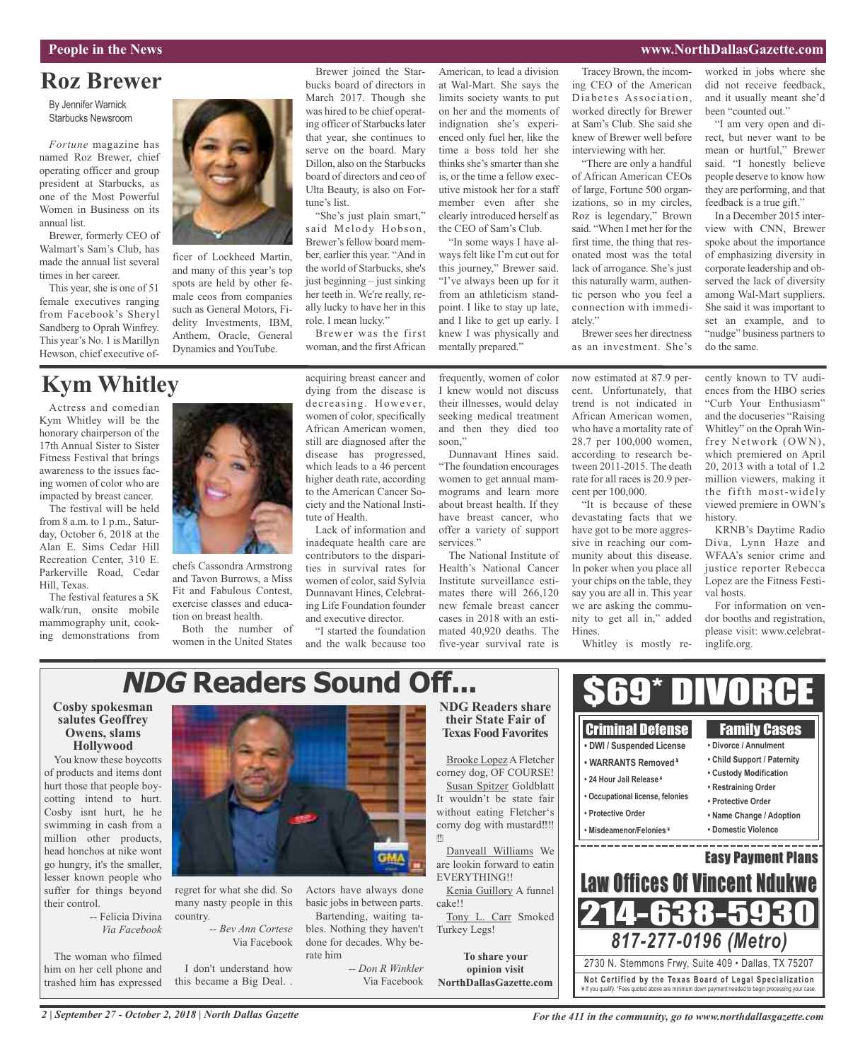#### **People in the News www.NorthDallasGazette.com**

## **Roz Brewer**

By Jennifer Warnick Starbucks Newsroom

*Fortune* magazine has named Roz Brewer, chief operating officer and group president at Starbucks, as one of the Most Powerful Women in Business on its annual list.

Brewer, formerly CEO of Walmart's Sam's Club, has made the annual list several times in her career.

This year, she is one of 51 female executives ranging from Facebook's Sheryl Sandberg to Oprah Winfrey. This year's No. 1 is Marillyn Hewson, chief executive of-



ficer of Lockheed Martin, and many of this year's top spots are held by other female ceos from companies such as General Motors, Fidelity Investments, IBM, Anthem, Oracle, General Dynamics and YouTube.

#### Brewer joined the Starbucks board of directors in March 2017. Though she was hired to be chief operating officer of Starbucks later that year, she continues to serve on the board. Mary Dillon, also on the Starbucks board of directors and ceo of Ulta Beauty, is also on Fortune's list.

"She's just plain smart," said Melody Hobson, Brewer's fellow board member, earlier this year. "And in the world of Starbucks, she's just beginning – just sinking her teeth in. We're really, really lucky to have her in this role. I mean lucky."

Brewer was the first woman, and the first African

American, to lead a division at Wal-Mart. She says the limits society wants to put on her and the moments of indignation she's experienced only fuel her, like the time a boss told her she thinks she's smarter than she is, or the time a fellow executive mistook her for a staff member even after she clearly introduced herself as the CEO of Sam's Club.

"In some ways I have always felt like I'm cut out for this journey," Brewer said. "I've always been up for it from an athleticism standpoint. I like to stay up late, and I like to get up early. I knew I was physically and mentally prepared."

Tracey Brown, the incoming CEO of the American Diabetes Association, worked directly for Brewer at Sam's Club. She said she knew of Brewer well before interviewing with her.

"There are only a handful of African American CEOs of large, Fortune 500 organizations, so in my circles, Roz is legendary," Brown said. "When I met her for the first time, the thing that resonated most was the total lack of arrogance. She's just this naturally warm, authentic person who you feel a connection with immediately."

Brewer sees her directness as an investment. She's

worked in jobs where she did not receive feedback, and it usually meant she'd been "counted out."

"I am very open and direct, but never want to be mean or hurtful," Brewer said. "I honestly believe people deserve to know how they are performing, and that feedback is a true gift."

In a December 2015 interview with CNN, Brewer spoke about the importance of emphasizing diversity in corporate leadership and observed the lack of diversity among Wal-Mart suppliers. She said it was important to set an example, and to "nudge" business partners to do the same.

# **Kym Whitley**

Actress and comedian Kym Whitley will be the honorary chairperson of the 17th Annual Sister to Sister Fitness Festival that brings awareness to the issues facing women of color who are impacted by breast cancer.

The festival will be held from 8 a.m. to 1 p.m., Saturday, October 6, 2018 at the Alan E. Sims Cedar Hill Recreation Center, 310 E. Parkerville Road, Cedar Hill, Texas.

The festival features a 5K walk/run, onsite mobile mammography unit, cooking demonstrations from



chefs Cassondra Armstrong and Tavon Burrows, a Miss Fit and Fabulous Contest, exercise classes and education on breast health.

Both the number of women in the United States acquiring breast cancer and dying from the disease is decreasing. However, women of color, specifically African American women, still are diagnosed after the disease has progressed, which leads to a 46 percent higher death rate, according to the American Cancer Society and the National Institute of Health.

Lack of information and inadequate health care are contributors to the disparities in survival rates for women of color, said Sylvia Dunnavant Hines, Celebrating Life Foundation founder and executive director.

"I started the foundation and the walk because too frequently, women of color I knew would not discuss their illnesses, would delay seeking medical treatment and then they died too soon,"

Dunnavant Hines said. "The foundation encourages women to get annual mammograms and learn more about breast health. If they have breast cancer, who offer a variety of support services."

The National Institute of Health's National Cancer Institute surveillance estimates there will 266,120 new female breast cancer cases in 2018 with an estimated 40,920 deaths. The five-year survival rate is

now estimated at 87.9 percent. Unfortunately, that trend is not indicated in African American women, who have a mortality rate of 28.7 per 100,000 women, according to research between 2011-2015. The death rate for all races is 20.9 percent per 100,000.

"It is because of these devastating facts that we have got to be more aggressive in reaching our community about this disease. In poker when you place all your chips on the table, they say you are all in. This year we are asking the community to get all in," added Hines.

Whitley is mostly re-

cently known to TV audiences from the HBO series "Curb Your Enthusiasm" and the docuseries "Raising Whitley" on the Oprah Winfrey Network (OWN), which premiered on April 20, 2013 with a total of 1.2 million viewers, making it the fifth most-widely viewed premiere in OWN's history.

KRNB's Daytime Radio Diva, Lynn Haze and WFAA's senior crime and justice reporter Rebecca Lopez are the Fitness Festival hosts.

For information on vendor booths and registration, please visit: www.celebratinglife.org.

#### **NDG Readers Sound Off...**\$69\* DIVORCE **Cosby spokesman NDG Readers share salutes Geoffrey their State Fair of** Criminal Defense Family Cases **Owens, slams Texas Food Favorites • DWI / Suspended License Hollywood • Divorce / Annulment** Brooke Lopez A Fletcher You know these boycotts **• Child Support / Paternity • WARRANTS Removed ¥** of products and items dont corney dog, OF COURSE! **• Custody Modification • 24 Hour Jail Release ¥** Susan Spitzer Goldblatt hurt those that people boy-**• Restraining Order • Occupational license, felonies** It wouldn't be state fair cotting intend to hurt. **• Protective Order** Cosby isnt hurt, he he without eating Fletcher's **• Protective Order • Name Change / Adoption** swimming in cash from a corny dog with mustard‼‼ **• Misdeamenor/Felonies ¥ • Domestic Violence** million other products,  $|$ -----------head honchos at nike wont Danyeall Williams We Easy Payment Plans go hungry, it's the smaller, are lookin forward to eatin lesser known people who EVERYTHING!! **Law Offices Of Vincent Ndul** regret for what she did. So Actors have always done suffer for things beyond Kenia Guillory A funnel many nasty people in this basic jobs in between parts. their control. cake!! 214-638-5 -- Felicia Divina country. Bartending, waiting ta-Tony L. Carr Smoked *-- Bev Ann Cortese* bles. Nothing they haven't *Via Facebook* Turkey Legs! *817-277-0196 (Metro)* Via Facebook done for decades. Why be-The woman who filmed rate him **To share your** 2730 N. Stemmons Frwy, Suite 409 • Dallas, TX 75207 *-- Don R Winkler* him on her cell phone and

Via Facebook

trashed him has expressed

I don't understand how this became a Big Deal. .

**opinion visit NorthDallasGazette.com**

**Not Ce rtified by the Te x a s Boa rd of Lega l Spe c ia l i za tion** ¥ If you qualify. \*Fees quoted above are minimum down payment needed to begin processing your case.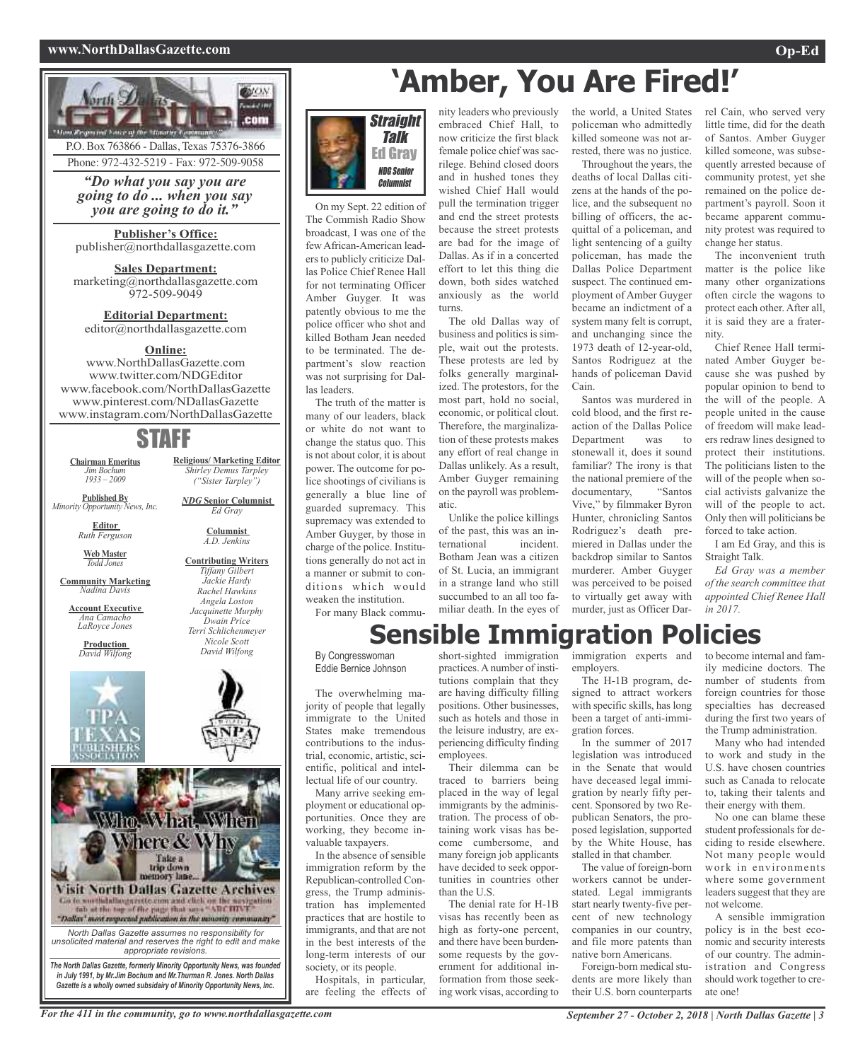#### **www.NorthDallasGazette.com Op-Ed**



Phone: 972-432-5219 - Fax: 972-509-9058

*"Do what you say you are going to do ... when you say you are going to do it."*

**Publisher's Office:** publisher@northdallasgazette.com

**Sales Department:** marketing@northdallasgazette.com 972-509-9049

**Editorial Department:** editor@northdallasgazette.com

#### **Online:**

www.NorthDallasGazette.com www.twitter.com/NDGEditor www.facebook.com/NorthDallasGazette www.pinterest.com/NDallasGazette www.instagram.com/NorthDallasGazette

## STAFF

**Chairman Emeritus** *Jim Bochum 1933 – 2009*

**Published By** *Minority Opportunity News, Inc.*

> **Editor** *Ruth Ferguson*

**Web Master** *Todd Jones*

**Community Marketing** *Nadina Davis*

**Account Executive** *Ana Camacho LaRoyce Jones*

**Production** *David Wilfong*

**Contributing Writers** *Tiffany Gilbert Jackie Hardy Rachel Hawkins Angela Loston Jacquinette Murphy Dwain Price Terri Schlichenmeyer Nicole Scott David Wilfong*

**Religious/ Marketing Editor** *Shirley Demus Tarpley ("Sister Tarpley") NDG* **Senior Columnist** *Ed Gray* **Columnist** *A.D. Jenkins*





On my Sept. 22 edition of The Commish Radio Show broadcast, I was one of the few African-American leaders to publicly criticize Dallas Police Chief Renee Hall for not terminating Officer Amber Guyger. It was patently obvious to me the police officer who shot and killed Botham Jean needed to be terminated. The department's slow reaction was not surprising for Dallas leaders.

The truth of the matter is many of our leaders, black or white do not want to change the status quo. This is not about color, it is about power. The outcome for police shootings of civilians is generally a blue line of guarded supremacy. This supremacy was extended to Amber Guyger, by those in charge of the police. Institutions generally do not act in a manner or submit to conditions which would weaken the institution. For many Black commu-

female police chief was sacrilege. Behind closed doors and in hushed tones they wished Chief Hall would pull the termination trigger and end the street protests because the street protests are bad for the image of Dallas. As if in a concerted effort to let this thing die down, both sides watched anxiously as the world turns. The old Dallas way of

embraced Chief Hall, to now criticize the first black

business and politics is simple, wait out the protests. These protests are led by folks generally marginalized. The protestors, for the most part, hold no social, economic, or political clout. Therefore, the marginalization of these protests makes any effort of real change in Dallas unlikely. As a result, Amber Guyger remaining on the payroll was problematic.

Unlike the police killings of the past, this was an international incident. Botham Jean was a citizen of St. Lucia, an immigrant in a strange land who still succumbed to an all too familiar death. In the eyes of

nity leaders who previously the world, a United States policeman who admittedly killed someone was not arrested, there was no justice.

> Throughout the years, the deaths of local Dallas citizens at the hands of the police, and the subsequent no billing of officers, the acquittal of a policeman, and light sentencing of a guilty policeman, has made the Dallas Police Department suspect. The continued employment of Amber Guyger became an indictment of a system many felt is corrupt, and unchanging since the 1973 death of 12-year-old, Santos Rodriguez at the hands of policeman David Cain.

Santos was murdered in cold blood, and the first reaction of the Dallas Police Department was to stonewall it, does it sound familiar? The irony is that the national premiere of the documentary, "Santos Vive," by filmmaker Byron Hunter, chronicling Santos Rodriguez's death premiered in Dallas under the backdrop similar to Santos murderer. Amber Guyger was perceived to be poised to virtually get away with murder, just as Officer Dar-

rel Cain, who served very little time, did for the death of Santos. Amber Guyger killed someone, was subsequently arrested because of community protest, yet she remained on the police department's payroll. Soon it became apparent community protest was required to change her status.

The inconvenient truth matter is the police like many other organizations often circle the wagons to protect each other. After all, it is said they are a fraternity.

Chief Renee Hall terminated Amber Guyger because she was pushed by popular opinion to bend to the will of the people. A people united in the cause of freedom will make leaders redraw lines designed to protect their institutions. The politicians listen to the will of the people when social activists galvanize the will of the people to act. Only then will politicians be forced to take action.

I am Ed Gray, and this is Straight Talk.

*Ed Gray was a member of the search committee that appointed Chief Renee Hall in 2017.*

# **Sensible Immigration Policies**

By Congresswoman Eddie Bernice Johnson

The overwhelming majority of people that legally immigrate to the United States make tremendous contributions to the industrial, economic, artistic, scientific, political and intellectual life of our country.

Many arrive seeking employment or educational opportunities. Once they are working, they become invaluable taxpayers.

In the absence of sensible immigration reform by the Republican-controlled Congress, the Trump administration has implemented practices that are hostile to immigrants, and that are not in the best interests of the long-term interests of our society, or its people.

Hospitals, in particular, are feeling the effects of

short-sighted immigration immigration experts and to become internal and fampractices.A number of institutions complain that they are having difficulty filling positions. Other businesses, such as hotels and those in the leisure industry, are experiencing difficulty finding employees.

Their dilemma can be traced to barriers being placed in the way of legal immigrants by the administration. The process of obtaining work visas has become cumbersome, and many foreign job applicants have decided to seek opportunities in countries other than the U.S.

The denial rate for H-1B visas has recently been as high as forty-one percent, and there have been burdensome requests by the government for additional information from those seeking work visas, according to

employers.

The H-1B program, designed to attract workers with specific skills, has long been a target of anti-immigration forces.

In the summer of 2017 legislation was introduced in the Senate that would have deceased legal immigration by nearly fifty percent. Sponsored by two Republican Senators, the proposed legislation, supported by the White House, has stalled in that chamber.

The value of foreign-born workers cannot be understated. Legal immigrants start nearly twenty-five percent of new technology companies in our country, and file more patents than native born Americans.

Foreign-born medical students are more likely than their U.S. born counterparts

ily medicine doctors. The number of students from foreign countries for those specialties has decreased during the first two years of the Trump administration.

Many who had intended to work and study in the U.S. have chosen countries such as Canada to relocate to, taking their talents and their energy with them.

No one can blame these student professionals for deciding to reside elsewhere. Not many people would work in environments where some government leaders suggest that they are not welcome.

A sensible immigration policy is in the best economic and security interests of our country. The administration and Congress should work together to create one!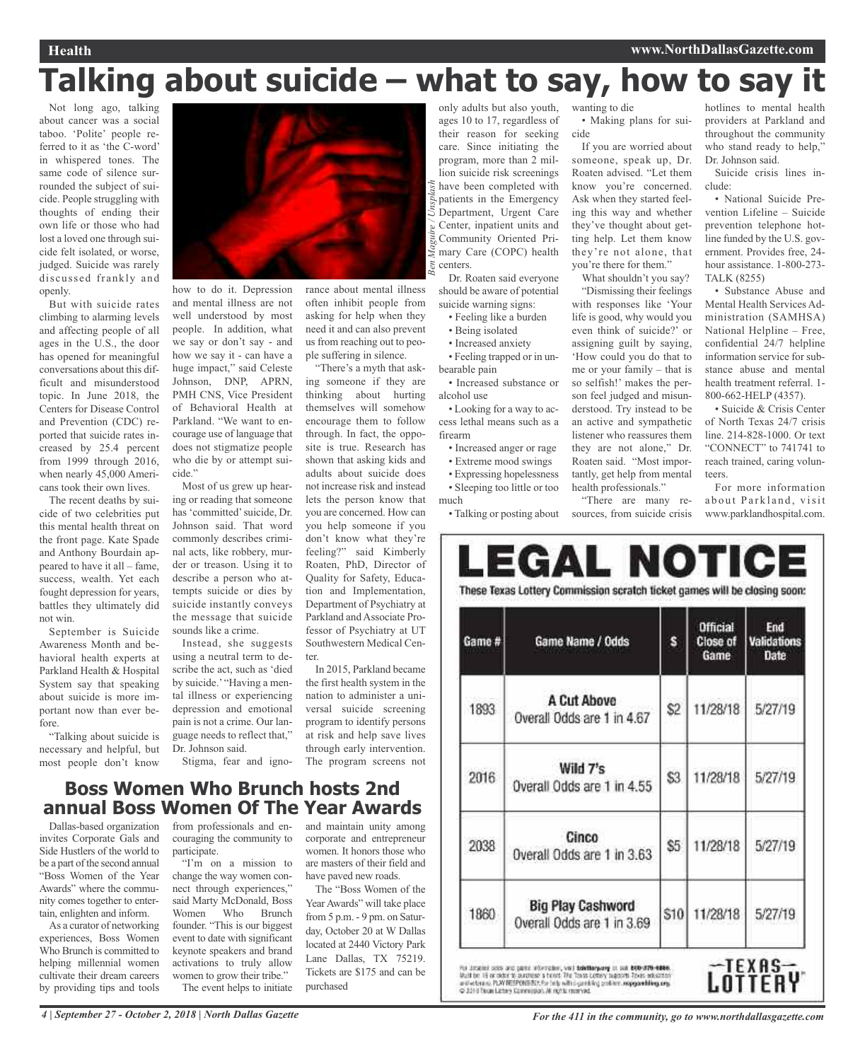# **Talking about suicide – what to say, how to say it**

Not long ago, talking about cancer was a social taboo. 'Polite' people referred to it as 'the C-word' in whispered tones. The same code of silence surrounded the subject of suicide. People struggling with thoughts of ending their own life or those who had lost a loved one through suicide felt isolated, or worse, judged. Suicide was rarely discussed frankly and openly.

But with suicide rates climbing to alarming levels and affecting people of all ages in the U.S., the door has opened for meaningful conversations about this difficult and misunderstood topic. In June 2018, the Centers for Disease Control and Prevention (CDC) reported that suicide rates increased by 25.4 percent from 1999 through 2016, when nearly 45,000 Americans took their own lives.

The recent deaths by suicide of two celebrities put this mental health threat on the front page. Kate Spade and Anthony Bourdain appeared to have it all – fame, success, wealth. Yet each fought depression for years, battles they ultimately did not win.

September is Suicide Awareness Month and behavioral health experts at Parkland Health & Hospital System say that speaking about suicide is more important now than ever before.

"Talking about suicide is necessary and helpful, but most people don't know



rance about mental illness often inhibit people from asking for help when they need it and can also prevent us from reaching out to people suffering in silence. "There's a myth that ask-

encourage them to follow through. In fact, the opposite is true. Research has shown that asking kids and adults about suicide does not increase risk and instead lets the person know that you are concerned. How can you help someone if you don't know what they're feeling?" said Kimberly Roaten, PhD, Director of Quality for Safety, Education and Implementation, Department of Psychiatry at Parkland and Associate Professor of Psychiatry at UT Southwestern Medical Cen-

how to do it. Depression and mental illness are not well understood by most people. In addition, what we say or don't say - and how we say it - can have a huge impact," said Celeste Johnson, DNP, APRN, PMH CNS, Vice President of Behavioral Health at Parkland. "We want to encourage use of language that does not stigmatize people who die by or attempt suicide."

Most of us grew up hearing or reading that someone has 'committed'suicide, Dr. Johnson said. That word commonly describes criminal acts, like robbery, murder or treason. Using it to describe a person who attempts suicide or dies by suicide instantly conveys the message that suicide sounds like a crime.

Instead, she suggests using a neutral term to describe the act, such as 'died by suicide.' "Having a mental illness or experiencing depression and emotional pain is not a crime. Our language needs to reflect that," Dr. Johnson said.

ter.

Stigma, fear and igno-

## **Boss Women Who Brunch hosts 2nd annual Boss Women Of The Year Awards**

Dallas-based organization invites Corporate Gals and Side Hustlers of the world to be a part of the second annual "Boss Women of the Year Awards" where the community comes together to entertain, enlighten and inform.

As a curator of networking experiences, Boss Women Who Brunch is committed to helping millennial women cultivate their dream careers by providing tips and tools

from professionals and encouraging the community to participate.

"I'm on a mission to change the way women connect through experiences," said Marty McDonald, Boss Women Who Brunch founder. "This is our biggest event to date with significant keynote speakers and brand activations to truly allow women to grow their tribe." The event helps to initiate

and maintain unity among corporate and entrepreneur women. It honors those who are masters of their field and have paved new roads.

In 2015, Parkland became the first health system in the nation to administer a universal suicide screening program to identify persons at risk and help save lives through early intervention. The program screens not

The "Boss Women of the Year Awards" will take place from 5 p.m. - 9 pm. on Saturday, October 20 at W Dallas located at 2440 Victory Park Lane Dallas, TX 75219. Tickets are \$175 and can be purchased

only adults but also youth, ages 10 to 17, regardless of their reason for seeking care. Since initiating the program, more than 2 million suicide risk screenings have been completed with patients in the Emergency Department, Urgent Care Center, inpatient units and Community Oriented Primary Care (COPC) health centers. *Ben Maguire / Unsplash*

Dr. Roaten said everyone should be aware of potential suicide warning signs:

- Feeling like a burden
- Being isolated
- Increased anxiety

• Feeling trapped or in unbearable pain

ing someone if they are thinking about hurting themselves will somehow • Increased substance or alcohol use • Looking for a way to ac-

cess lethal means such as a firearm

• Increased anger or rage • Extreme mood swings

• Expressing hopelessness

• Sleeping too little or too

much

• Talking or posting about

wanting to die • Making plans for suicide

If you are worried about someone, speak up, Dr. Roaten advised. "Let them know you're concerned. Ask when they started feeling this way and whether they've thought about getting help. Let them know they're not alone, that you're there for them."

What shouldn't you say?

"Dismissing their feelings with responses like 'Your life is good, why would you even think of suicide?' or assigning guilt by saying, 'How could you do that to me or your family – that is so selfish!' makes the person feel judged and misunderstood. Try instead to be an active and sympathetic listener who reassures them they are not alone," Dr. Roaten said. "Most importantly, get help from mental health professionals."

"There are many resources, from suicide crisis

hotlines to mental health providers at Parkland and throughout the community who stand ready to help," Dr. Johnson said.

Suicide crisis lines include:

• National Suicide Prevention Lifeline – Suicide prevention telephone hotline funded by the U.S. government. Provides free, 24 hour assistance. 1-800-273- TALK (8255)

• Substance Abuse and Mental Health Services Administration (SAMHSA) National Helpline – Free, confidential 24/7 helpline information service for substance abuse and mental health treatment referral. 1- 800-662-HELP (4357).

• Suicide & Crisis Center of North Texas 24/7 crisis line. 214-828-1000. Or text "CONNECT" to 741741 to reach trained, caring volunteers.

For more information about Parkland, visit www.parklandhospital.com.

| Game # | Game Name / Odds                                       | s              | <b>Official</b><br>Close of<br>Game | End<br><b>Validations</b><br>Date |
|--------|--------------------------------------------------------|----------------|-------------------------------------|-----------------------------------|
| 1893   | A Cut Above<br>Overall Odds are 1 in 4.67              | S <sub>2</sub> | 11/28/18                            | 5/27/19                           |
| 2016   | Wild 7's<br>Overall Odds are 1 in 4.55                 | \$3            | 11/28/18                            | 5/27/19                           |
| 2038   | Cinco<br>Overall Odds are 1 in 3.63                    | \$5            | 11/28/18                            | 5/27/19                           |
| 1860   | <b>Big Play Cashword</b><br>Overall Odds are 1 in 3.69 | S10            | 11/28/18                            | 5/27/19                           |

4 | September 27 - October 2, 2018 | North Dallas Gazette For the 411 in the community, go to www.northdallasgazette.com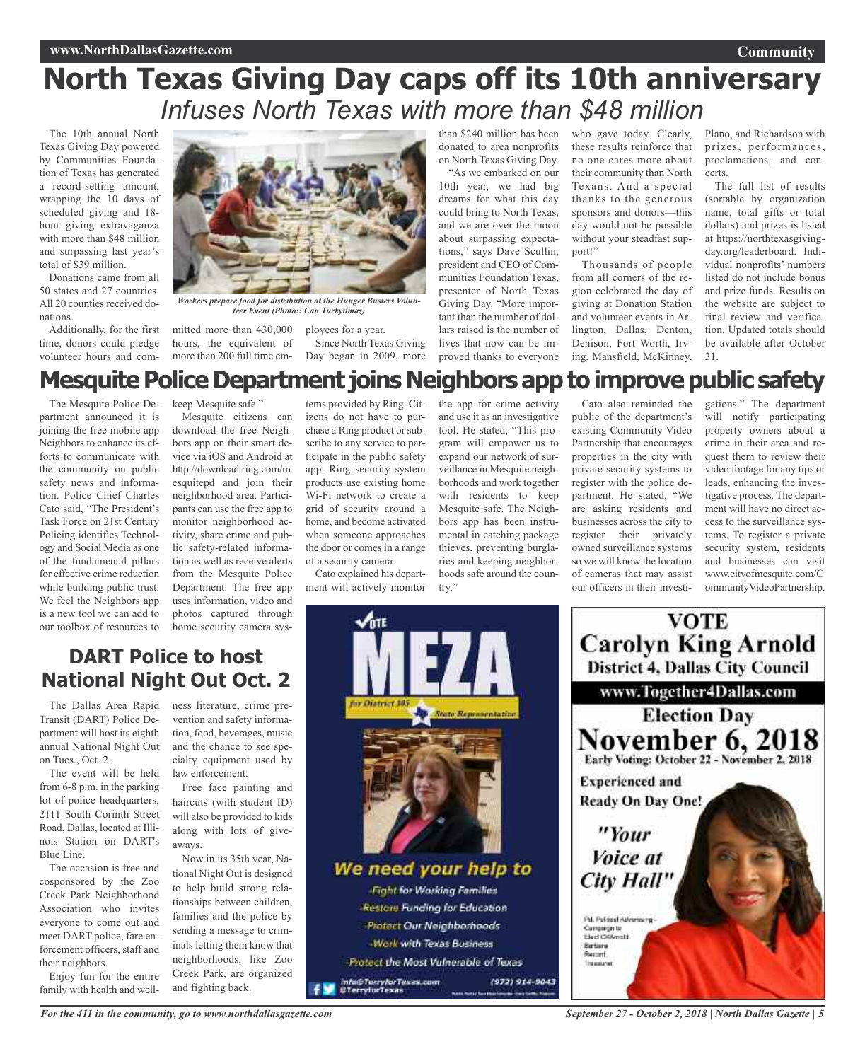# **North Texas Giving Day caps off its 10th anniversary** *Infuses North Texas with more than \$48 million*

The 10th annual North Texas Giving Day powered by Communities Foundation of Texas has generated a record-setting amount, wrapping the 10 days of scheduled giving and 18 hour giving extravaganza with more than \$48 million and surpassing last year's total of \$39 million.

Donations came from all 50 states and 27 countries. All 20 counties received donations.

Additionally, for the first time, donors could pledge volunteer hours and com-



*Workers prepare food for distribution at the Hunger Busters Volunteer Event (Photo:: Can Turkyilmaz)*

mitted more than 430,000 hours, the equivalent of more than 200 full time em-

ployees for a year. Since North Texas Giving Day began in 2009, more

than \$240 million has been donated to area nonprofits on North Texas Giving Day.

"As we embarked on our 10th year, we had big dreams for what this day could bring to North Texas, and we are over the moon about surpassing expectations," says Dave Scullin, president and CEO of Communities Foundation Texas, presenter of North Texas Giving Day. "More important than the number of dollars raised is the number of lives that now can be improved thanks to everyone

who gave today. Clearly, these results reinforce that no one cares more about their community than North Texans. And a special thanks to the generous sponsors and donors—this day would not be possible without your steadfast support!"

Thousands of people from all corners of the region celebrated the day of giving at Donation Station and volunteer events in Arlington, Dallas, Denton, Denison, Fort Worth, Irving, Mansfield, McKinney, Plano, and Richardson with prizes, performances, proclamations, and concerts.

**Community**

The full list of results (sortable by organization name, total gifts or total dollars) and prizes is listed at https://northtexasgivingday.org/leaderboard. Individual nonprofits' numbers listed do not include bonus and prize funds. Results on the website are subject to final review and verification. Updated totals should be available after October 31.

# **Mesquite Police Department joins Neighbors app to improve public safety**

The Mesquite Police Department announced it is joining the free mobile app Neighbors to enhance its efforts to communicate with the community on public safety news and information. Police Chief Charles Cato said, "The President's Task Force on 21st Century Policing identifies Technology and Social Media as one of the fundamental pillars for effective crime reduction while building public trust. We feel the Neighbors app is a new tool we can add to our toolbox of resources to keep Mesquite safe."

Mesquite citizens can download the free Neighbors app on their smart device via iOS and Android at http://download.ring.com/m esquitepd and join their neighborhood area. Participants can use the free app to monitor neighborhood activity, share crime and public safety-related information as well as receive alerts from the Mesquite Police Department. The free app uses information, video and photos captured through home security camera systems provided by Ring. Citizens do not have to purchase a Ring product or subscribe to any service to participate in the public safety app. Ring security system products use existing home Wi-Fi network to create a grid of security around a home, and become activated when someone approaches the door or comes in a range of a security camera.

Cato explained his department will actively monitor

the app for crime activity and use it as an investigative tool. He stated, "This program will empower us to expand our network of surveillance in Mesquite neighborhoods and work together with residents to keep Mesquite safe. The Neighbors app has been instrumental in catching package thieves, preventing burglaries and keeping neighborhoods safe around the country."

Cato also reminded the public of the department's existing Community Video Partnership that encourages properties in the city with private security systems to register with the police department. He stated, "We are asking residents and businesses across the city to register their privately owned surveillance systems so we will know the location of cameras that may assist our officers in their investigations." The department will notify participating property owners about a crime in their area and request them to review their video footage for any tips or leads, enhancing the investigative process. The department will have no direct access to the surveillance systems. To register a private security system, residents and businesses can visit www.cityofmesquite.com/C ommunityVideoPartnership.

## **DART Police to host National Night Out Oct. 2**

The Dallas Area Rapid Transit (DART) Police Department will host its eighth annual National Night Out on Tues., Oct. 2.

The event will be held from 6-8 p.m. in the parking lot of police headquarters, 2111 South Corinth Street Road, Dallas, located at Illinois Station on DART's Blue Line.

The occasion is free and cosponsored by the Zoo Creek Park Neighborhood Association who invites everyone to come out and meet DART police, fare enforcement officers, staff and their neighbors.

Enjoy fun for the entire family with health and well-

ness literature, crime prevention and safety information, food, beverages, music and the chance to see specialty equipment used by law enforcement.

Free face painting and haircuts (with student ID) will also be provided to kids along with lots of giveaways.

Now in its 35th year, National Night Out is designed to help build strong relationships between children, families and the police by sending a message to criminals letting them know that neighborhoods, like Zoo Creek Park, are organized and fighting back.



-Protect Our Neighborhoods **Work with Texas Business** Protect the Most Vulnerable of Texas (972) 914-9043

info@TerryforTexas.com<br>#TerryforTexas



*September 27 - October 2, 2018 | North Dallas Gazette | 5*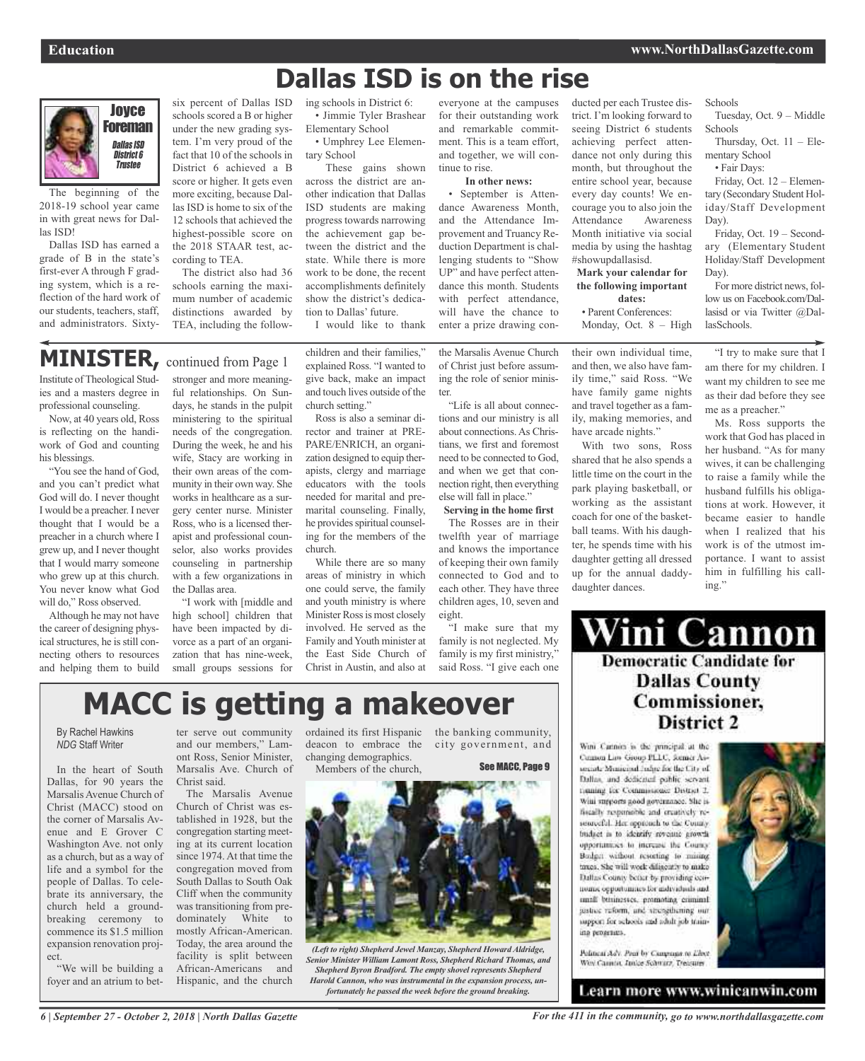# **Dallas ISD is on the rise**



The beginning of the 2018-19 school year came in with great news for Dallas ISD!

Dallas ISD has earned a grade of B in the state's first-ever A through F grading system, which is a reflection of the hard work of our students, teachers, staff, and administrators. Sixty-

six percent of Dallas ISD schools scored a B or higher under the new grading system. I'm very proud of the fact that 10 of the schools in District 6 achieved a B score or higher. It gets even more exciting, because Dallas ISD is home to six of the 12 schools that achieved the highest-possible score on the 2018 STAAR test, according to TEA.

The district also had 36 schools earning the maximum number of academic distinctions awarded by TEA, including the follow-

#### ing schools in District 6: • Jimmie Tyler Brashear

Elementary School • Umphrey Lee Elementary School

These gains shown across the district are another indication that Dallas ISD students are making progress towards narrowing the achievement gap between the district and the state. While there is more work to be done, the recent accomplishments definitely show the district's dedication to Dallas' future.

I would like to thank

## **MINISTER,** continued from Page <sup>1</sup>

Institute ofTheological Studies and a masters degree in professional counseling.

Now, at 40 years old, Ross is reflecting on the handiwork of God and counting his blessings.

"You see the hand of God, and you can't predict what God will do. I never thought I would be a preacher. I never thought that I would be a preacher in a church where I grew up, and I never thought that I would marry someone who grew up at this church. You never know what God will do," Ross observed.

Although he may not have the career of designing physical structures, he is still connecting others to resources and helping them to build

stronger and more meaningful relationships. On Sundays, he stands in the pulpit ministering to the spiritual needs of the congregation. During the week, he and his wife, Stacy are working in their own areas of the community in their own way. She works in healthcare as a surgery center nurse. Minister Ross, who is a licensed therapist and professional counselor, also works provides counseling in partnership with a few organizations in the Dallas area.

"I work with [middle and high school] children that have been impacted by divorce as a part of an organization that has nine-week, small groups sessions for children and their families," explained Ross. "I wanted to give back, make an impact and touch lives outside of the church setting."

Ross is also a seminar director and trainer at PRE-PARE/ENRICH, an organization designed to equip therapists, clergy and marriage educators with the tools needed for marital and premarital counseling. Finally, he provides spiritual counseling for the members of the church.

While there are so many areas of ministry in which one could serve, the family and youth ministry is where Minister Ross is most closely involved. He served as the Family and Youth minister at the East Side Church of Christ in Austin, and also at

everyone at the campuses for their outstanding work and remarkable commitment. This is a team effort, and together, we will continue to rise.

#### **In other news:**

• September is Attendance Awareness Month, and the Attendance Improvement and Truancy Reduction Department is challenging students to "Show UP" and have perfect attendance this month. Students with perfect attendance, will have the chance to enter a prize drawing con-

the Marsalis Avenue Church of Christ just before assuming the role of senior minister.

"Life is all about connections and our ministry is all about connections.As Christians, we first and foremost need to be connected to God, and when we get that connection right, then everything else will fall in place."

**Serving in the home first** The Rosses are in their twelfth year of marriage and knows the importance of keeping their own family connected to God and to each other. They have three children ages, 10, seven and eight.

"I make sure that my family is not neglected. My family is my first ministry," said Ross. "I give each one ducted per each Trustee district. I'm looking forward to seeing District 6 students achieving perfect attendance not only during this month, but throughout the entire school year, because every day counts! We encourage you to also join the Attendance Awareness Month initiative via social media by using the hashtag #showupdallasisd.

#### **Mark your calendar for the following important dates:**

• Parent Conferences:

Monday, Oct. 8 – High

their own individual time, and then, we also have family time," said Ross. "We have family game nights and travel together as a family, making memories, and have arcade nights."

With two sons, Ross shared that he also spends a little time on the court in the park playing basketball, or working as the assistant coach for one of the basketball teams. With his daughter, he spends time with his daughter getting all dressed up for the annual daddydaughter dances.

Schools

Tuesday, Oct. 9 – Middle Schools

Thursday, Oct. 11 – Elementary School

• Fair Days:

Friday, Oct. 12 – Elementary (Secondary Student Holiday/Staff Development Day).

Friday, Oct. 19 – Secondary (Elementary Student Holiday/Staff Development Day).

For more district news, follow us on Facebook.com/Dallasisd or via Twitter @DallasSchools.

"I try to make sure that I am there for my children. I want my children to see me as their dad before they see me as a preacher."

Ms. Ross supports the work that God has placed in her husband. "As for many wives, it can be challenging to raise a family while the husband fulfills his obligations at work. However, it became easier to handle when I realized that his work is of the utmost importance. I want to assist him in fulfilling his calling."

## Wini Cannon **Democratic Candidate for Dallas County** Commissioner, District 2

Wini Cannon is the principal at the Cannon Law Group PLLC, former Assecurity Mentioned Induction the City of Dallas, and dedicated public servant tioning for Commissioner District 2. Wini surgeorts nood novemance. She isfiscally responsible and creatively resourceful. Her opptunch to the County. budget in to identify revenue growth opportantices to increase the Councy. Bodget without resorting to mising taxes. She will week dilinearly to make Dallas County befur by providing cennomic opportunities for individuals and small businesses, promoting criminal sustree reform, and strengthening our support for schools and adult job training programs.



Pelatical Adv. Pacif by Company to Libert Wey Cannot, Junior Schwarz, Treasurer

Learn more www.winicanwin.com

# **MACC is getting a makeover**

By Rachel Hawkins *NDG* Staff Writer

In the heart of South Dallas, for 90 years the Marsalis Avenue Church of Christ (MACC) stood on the corner of Marsalis Avenue and E Grover C Washington Ave. not only as a church, but as a way of life and a symbol for the people of Dallas. To celebrate its anniversary, the church held a groundbreaking ceremony to commence its \$1.5 million expansion renovation project.

"We will be building a foyer and an atrium to bet-

ter serve out community and our members," Lamont Ross, Senior Minister, Marsalis Ave. Church of Christ said.

The Marsalis Avenue Church of Christ was established in 1928, but the congregation starting meeting at its current location since 1974. At that time the congregation moved from South Dallas to South Oak Cliff when the community was transitioning from predominately White to mostly African-American. Today, the area around the facility is split between African-Americans and Hispanic, and the church

ordained its first Hispanic the banking community, deacon to embrace the city government, and changing demographics. Members of the church,

See MACC, Page 9



*(Left to right) Shepherd Jewel Manzay, Shepherd Howard Aldridge, Senior Minister William Lamont Ross, Shepherd Richard Thomas, and Shepherd Byron Bradford. The empty shovel represents Shepherd Harold Cannon, who was instrumental in the expansion process, unfortunately he passed the week before the ground breaking.*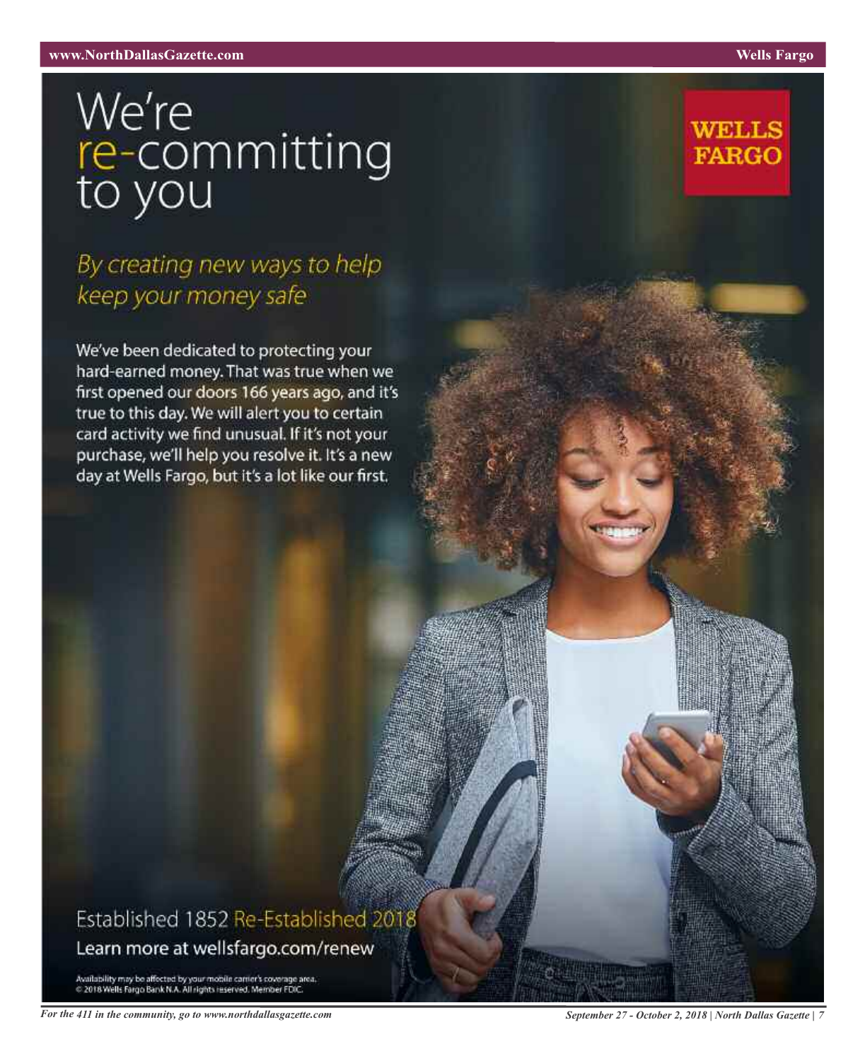# We're<br>re-committing<br>to you

# By creating new ways to help keep your money safe

We've been dedicated to protecting your hard-earned money. That was true when we first opened our doors 166 years ago, and it's true to this day. We will alert you to certain card activity we find unusual. If it's not your purchase, we'll help you resolve it. It's a new day at Wells Fargo, but it's a lot like our first.

# Established 1852 Re-Established 2018 Learn more at wellsfargo.com/renew

Availability may be affected by your mobile camer's coverage area.<br>© 2018 Wells Fargo Bank N.A. All rights reserved. Member FDIC.

**WELLS** 

**FARGO**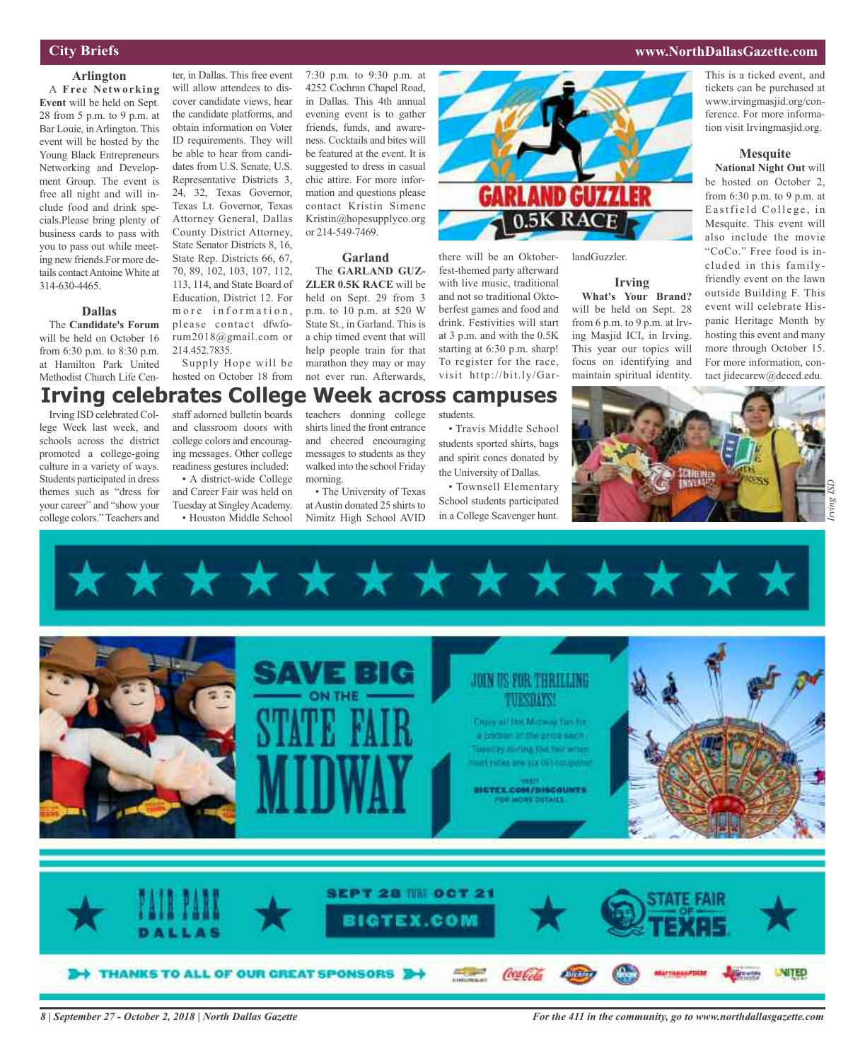#### **City Briefs**

#### **Arlington**

A **Free Networking Event** will be held on Sept. 28 from 5 p.m. to 9 p.m. at Bar Louie, inArlington. This event will be hosted by the Young Black Entrepreneurs Networking and Development Group. The event is free all night and will include food and drink specials.Please bring plenty of business cards to pass with you to pass out while meeting new friends.For more details contactAntoineWhite at 314-630-4465.

#### **Dallas**

The **Candidate's Forum** will be held on October 16 from 6:30 p.m. to 8:30 p.m. at Hamilton Park United Methodist Church Life Cen-

Irving ISD celebrated College Week last week, and schools across the district promoted a college-going culture in a variety of ways. Students participated in dress themes such as "dress for your career" and "show your college colors."Teachers and

ter, in Dallas. This free event will allow attendees to discover candidate views, hear the candidate platforms, and obtain information on Voter ID requirements. They will be able to hear from candidates from U.S. Senate, U.S. Representative Districts 3, 24, 32, Texas Governor, Texas Lt. Governor, Texas Attorney General, Dallas County District Attorney, State Senator Districts 8, 16, State Rep. Districts 66, 67, 70, 89, 102, 103, 107, 112, 113, 114, and State Board of Education, District 12. For m or e information, please contact dfwforum2018@gmail.com or

214.452.7835. Supply Hope will be help people train for that marathon they may or may

hosted on October 18 from not ever run. Afterwards,

staff adorned bulletin boards and classroom doors with college colors and encouraging messages. Other college readiness gestures included: • A district-wide College **Irving celebrates College Week across campuses**

and Career Fair was held on Tuesday at Singley Academy. • Houston Middle School teachers donning college shirts lined the front entrance and cheered encouraging messages to students as they walked into the school Friday morning.

or 214-549-7469.

**Garland** The **GARLAND GUZ-ZLER 0.5K RACE** will be held on Sept. 29 from 3 p.m. to 10 p.m. at 520 W State St., in Garland. This is a chip timed event that will

• The University of Texas at Austin donated 25 shirts to Nimitz High School AVID

• Travis Middle School students sported shirts, bags and spirit cones donated by the University of Dallas.

students.

there will be an Oktoberfest-themed party afterward with live music, traditional and not so traditional Oktoberfest games and food and drink. Festivities will start at 3 p.m. and with the 0.5K starting at 6:30 p.m. sharp! To register for the race, visit http://bit.ly/Gar-

• Townsell Elementary School students participated in a College Scavenger hunt.



landGuzzler.

#### **Irving**

**What's Your Brand?** will be held on Sept. 28 from 6 p.m. to 9 p.m. at Irving Masjid ICI, in Irving. This year our topics will focus on identifying and maintain spiritual identity.



#### **Mesquite**

**National Night Out** will be hosted on October 2, from 6:30 p.m. to 9 p.m. at Eastfield College, in Mesquite. This event will also include the movie "CoCo." Free food is included in this familyfriendly event on the lawn outside Building F. This event will celebrate Hispanic Heritage Month by hosting this event and many more through October 15. For more information, contact jidecarew@dcccd.edu.





#### **www.NorthDallasGazette.com**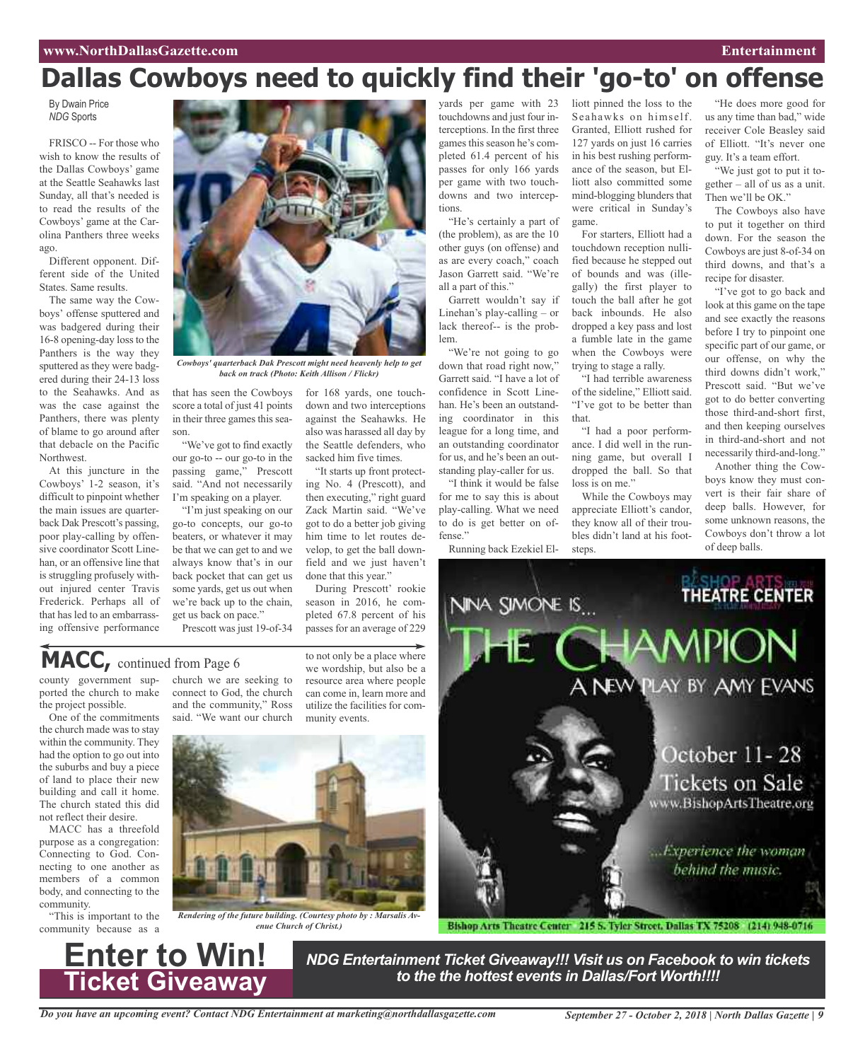# **Dallas Cowboys need to quickly find their 'go-to' on offense**

By Dwain Price *NDG* Sports

FRISCO -- For those who wish to know the results of the Dallas Cowboys' game at the Seattle Seahawks last Sunday, all that's needed is to read the results of the Cowboys' game at the Carolina Panthers three weeks ago.

Different opponent. Different side of the United States. Same results.

The same way the Cowboys' offense sputtered and was badgered during their 16-8 opening-day loss to the Panthers is the way they sputtered as they were badgered during their 24-13 loss to the Seahawks. And as was the case against the Panthers, there was plenty of blame to go around after that debacle on the Pacific Northwest.

At this juncture in the Cowboys' 1-2 season, it's difficult to pinpoint whether the main issues are quarterback Dak Prescott's passing, poor play-calling by offensive coordinator Scott Linehan, or an offensive line that is struggling profusely without injured center Travis Frederick. Perhaps all of that has led to an embarrassing offensive performance



*Cowboys' quarterback Dak Prescott might need heavenly help to get back on track (Photo: Keith Allison / Flickr)*

that has seen the Cowboys score a total of just 41 points in their three games this season.

"We've got to find exactly our go-to -- our go-to in the passing game," Prescott said. "And not necessarily I'm speaking on a player.

"I'm just speaking on our go-to concepts, our go-to beaters, or whatever it may be that we can get to and we always know that's in our back pocket that can get us some yards, get us out when we're back up to the chain, get us back on pace."

Prescott was just 19-of-34

yards per game with 23 touchdowns and just four interceptions. In the first three games this season he's completed 61.4 percent of his passes for only 166 yards per game with two touchdowns and two interceptions.

"He's certainly a part of (the problem), as are the 10 other guys (on offense) and as are every coach," coach Jason Garrett said. "We're all a part of this."

Garrett wouldn't say if Linehan's play-calling – or lack thereof-- is the problem.

"We're not going to go down that road right now," Garrett said. "I have a lot of confidence in Scott Linehan. He's been an outstanding coordinator in this league for a long time, and an outstanding coordinator for us, and he's been an outstanding play-caller for us.

"I think it would be false for me to say this is about play-calling. What we need

Running back Ezekiel El-

liott pinned the loss to the Seahawks on himself. Granted, Elliott rushed for 127 yards on just 16 carries in his best rushing performance of the season, but Elliott also committed some mind-blogging blunders that were critical in Sunday's game.

For starters, Elliott had a touchdown reception nullified because he stepped out of bounds and was (illegally) the first player to touch the ball after he got back inbounds. He also dropped a key pass and lost a fumble late in the game when the Cowboys were trying to stage a rally.

"I had terrible awareness of the sideline," Elliott said. "I've got to be better than that.

"I had a poor performance. I did well in the running game, but overall I dropped the ball. So that loss is on me."

While the Cowboys may appreciate Elliott's candor, they know all of their troubles didn't land at his footsteps.

"He does more good for us any time than bad," wide receiver Cole Beasley said of Elliott. "It's never one guy. It's a team effort.

"We just got to put it together – all of us as a unit. Then we'll be OK."

The Cowboys also have to put it together on third down. For the season the Cowboys are just 8-of-34 on third downs, and that's a recipe for disaster.

"I've got to go back and look at this game on the tape and see exactly the reasons before I try to pinpoint one specific part of our game, or our offense, on why the third downs didn't work," Prescott said. "But we've got to do better converting those third-and-short first, and then keeping ourselves in third-and-short and not necessarily third-and-long."

Another thing the Cowboys know they must convert is their fair share of deep balls. However, for some unknown reasons, the Cowboys don't throw a lot of deep balls.

**SHOP ARTS** THEATRE CENTER

down and two interceptions against the Seahawks. He also was harassed all day by the Seattle defenders, who sacked him five times. "It starts up front protecting No. 4 (Prescott), and then executing," right guard

to do is get better on offense."

NINA SIMONE IS...

## MACC, continued from Page 6

county government supported the church to make the project possible.

One of the commitments the church made was to stay within the community. They had the option to go out into the suburbs and buy a piece of land to place their new building and call it home. The church stated this did not reflect their desire.

MACC has a threefold purpose as a congregation: Connecting to God. Connecting to one another as members of a common body, and connecting to the community.

"This is important to the community because as a

**Enter to Win!**

**Ticket Giveaway**

church we are seeking to connect to God, the church and the community," Ross said. "We want our church to not only be a place where we wordship, but also be a resource area where people can come in, learn more and utilize the facilities for community events.

for 168 yards, one touch-

Zack Martin said. "We've got to do a better job giving him time to let routes develop, to get the ball downfield and we just haven't

During Prescott' rookie season in 2016, he completed 67.8 percent of his passes for an average of 229

done that this year."



*Rendering of the future building. (Courtesy photo by : Marsalis Avenue Church of Christ.)*



Bishop Arts Theatre Center 215 S. Tyler Street, Dallas TX 75208 (214) 948-0716

*NDG Entertainment Ticket Giveaway!!! Visit us on Facebook to win tickets to the the hottest events in Dallas/Fort Worth!!!!*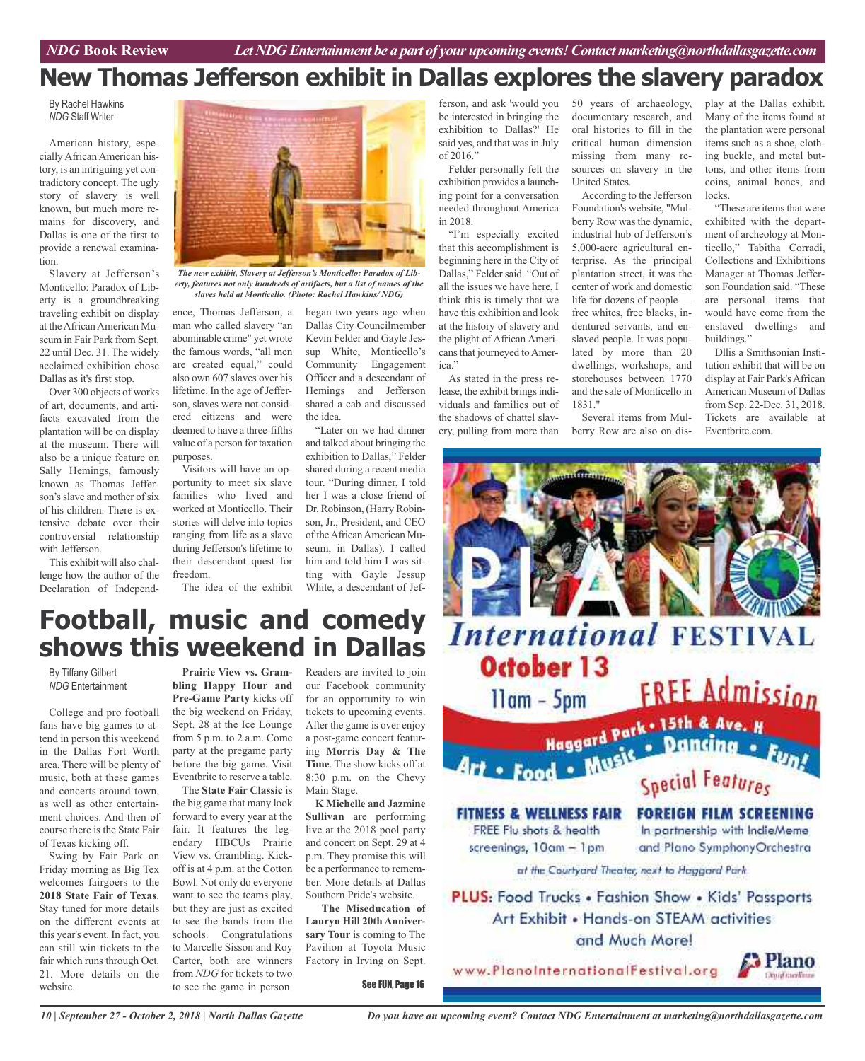# **New Thomas Jefferson exhibit in Dallas explores the slavery paradox**

#### By Rachel Hawkins *NDG* Staff Writer

American history, especially African American history, is an intriguing yet contradictory concept. The ugly story of slavery is well known, but much more remains for discovery, and Dallas is one of the first to provide a renewal examination.

Slavery at Jefferson's Monticello: Paradox of Liberty is a groundbreaking traveling exhibit on display at theAfricanAmerican Museum in Fair Park from Sept. 22 until Dec. 31. The widely acclaimed exhibition chose Dallas as it's first stop.

Over 300 objects of works of art, documents, and artifacts excavated from the plantation will be on display at the museum. There will also be a unique feature on Sally Hemings, famously known as Thomas Jefferson's slave and mother of six of his children. There is extensive debate over their controversial relationship with Jefferson.

This exhibit will also challenge how the author of the Declaration of Independ-



*The new exhibit, Slavery at Jefferson's Monticello: Paradox of Liberty, features not only hundreds of artifacts, but a list of names of the slaves held at Monticello. (Photo: Rachel Hawkins/ NDG)*

ence, Thomas Jefferson, a man who called slavery "an abominable crime" yet wrote the famous words, "all men are created equal," could also own 607 slaves over his lifetime. In the age of Jefferson, slaves were not considered citizens and were deemed to have a three-fifths value of a person for taxation purposes.

Visitors will have an opportunity to meet six slave families who lived and worked at Monticello. Their stories will delve into topics ranging from life as a slave during Jefferson's lifetime to their descendant quest for freedom.

began two years ago when Dallas City Councilmember Kevin Felder and Gayle Jessup White, Monticello's Community Engagement Officer and a descendant of Hemings and Jefferson shared a cab and discussed the idea.

The idea of the exhibit White, a descendant of Jef-"Later on we had dinner and talked about bringing the exhibition to Dallas," Felder shared during a recent media tour. "During dinner, I told her I was a close friend of Dr. Robinson, (Harry Robinson, Jr., President, and CEO of theAfricanAmerican Museum, in Dallas). I called him and told him I was sitting with Gayle Jessup

ferson, and ask 'would you be interested in bringing the exhibition to Dallas?' He said yes, and that was in July of 2016."

Felder personally felt the exhibition provides a launching point for a conversation needed throughout America in 2018.

"I'm especially excited that this accomplishment is beginning here in the City of Dallas," Felder said. "Out of all the issues we have here, I think this is timely that we have this exhibition and look at the history of slavery and the plight of African Americansthat journeyed toAmerica."

As stated in the press release, the exhibit brings individuals and families out of the shadows of chattel slavery, pulling from more than 50 years of archaeology, documentary research, and oral histories to fill in the critical human dimension missing from many resources on slavery in the United States.

According to the Jefferson Foundation's website, "Mulberry Row was the dynamic, industrial hub of Jefferson's 5,000-acre agricultural enterprise. As the principal plantation street, it was the center of work and domestic life for dozens of people free whites, free blacks, indentured servants, and enslaved people. It was populated by more than 20 dwellings, workshops, and storehouses between 1770 and the sale of Monticello in 1831."

Several items from Mulberry Row are also on dis-

play at the Dallas exhibit. Many of the items found at the plantation were personal items such as a shoe, clothing buckle, and metal buttons, and other items from coins, animal bones, and locks.

"These are items that were exhibited with the department of archeology at Monticello," Tabitha Corradi, Collections and Exhibitions Manager at Thomas Jefferson Foundation said. "These are personal items that would have come from the enslaved dwellings and buildings."

Dllis a Smithsonian Institution exhibit that will be on display at Fair Park'sAfrican American Museum of Dallas from Sep. 22-Dec. 31, 2018. Tickets are available at Eventbrite.com.



# **Football, music and comedy shows this weekend in Dallas**

By Tiffany Gilbert *NDG* Entertainment

College and pro football fans have big games to attend in person this weekend in the Dallas Fort Worth area. There will be plenty of music, both at these games and concerts around town, as well as other entertainment choices. And then of course there is the State Fair of Texas kicking off.

Swing by Fair Park on Friday morning as Big Tex welcomes fairgoers to the **2018 State Fair of Texas**. Stay tuned for more details on the different events at this year's event. In fact, you can still win tickets to the fair which runs through Oct. 21. More details on the website.

**Prairie View vs. Grambling Happy Hour and Pre-Game Party** kicks off the big weekend on Friday, Sept. 28 at the Ice Lounge from 5 p.m. to 2 a.m. Come party at the pregame party before the big game. Visit Eventbrite to reserve a table.

The **State Fair Classic** is the big game that many look forward to every year at the fair. It features the legendary HBCUs Prairie View vs. Grambling. Kickoff is at 4 p.m. at the Cotton Bowl. Not only do everyone want to see the teams play, but they are just as excited to see the bands from the schools. Congratulations to Marcelle Sisson and Roy Carter, both are winners from *NDG* for tickets to two to see the game in person.

Readers are invited to join our Facebook community for an opportunity to win tickets to upcoming events. After the game is over enjoy a post-game concert featuring **Morris Day & The Time**. The show kicks off at 8:30 p.m. on the Chevy Main Stage.

**K Michelle and Jazmine Sullivan** are performing live at the 2018 pool party and concert on Sept. 29 at 4 p.m. They promise this will be a performance to remember. More details at Dallas Southern Pride's website.

**The Miseducation of Lauryn Hill 20th Anniversary Tour** is coming to The Pavilion at Toyota Music Factory in Irving on Sept.

See FUN, Page 16

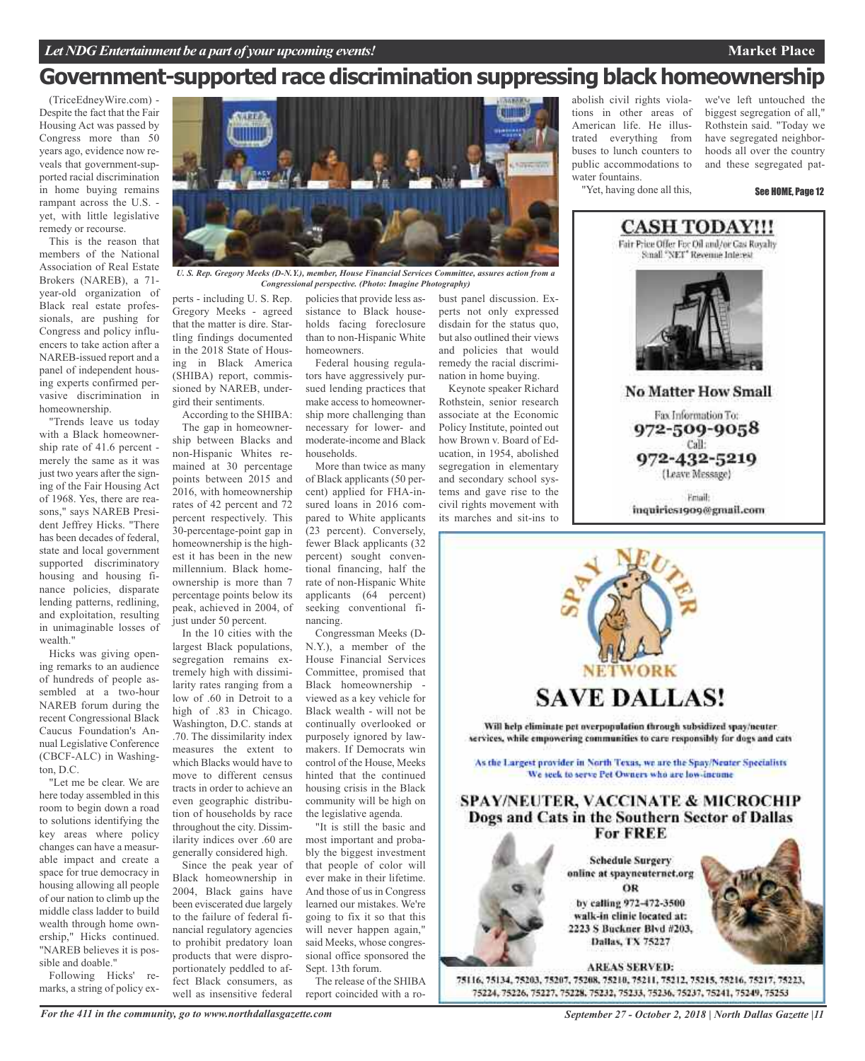#### **Market Place**

# **Government-supported race discrimination suppressing black homeownership**

(TriceEdneyWire.com) - Despite the fact that the Fair Housing Act was passed by Congress more than 50 years ago, evidence now reveals that government-supported racial discrimination in home buying remains rampant across the U.S. yet, with little legislative remedy or recourse.

This is the reason that members of the National Association of Real Estate Brokers (NAREB), a 71 year-old organization of Black real estate professionals, are pushing for Congress and policy influencers to take action after a NAREB-issued report and a panel of independent housing experts confirmed pervasive discrimination in homeownership.

"Trends leave us today with a Black homeownership rate of 41.6 percent merely the same as it was just two years after the signing of the Fair Housing Act of 1968. Yes, there are reasons," says NAREB President Jeffrey Hicks. "There has been decades of federal, state and local government supported discriminatory housing and housing finance policies, disparate lending patterns, redlining, and exploitation, resulting in unimaginable losses of wealth."

Hicks was giving opening remarks to an audience of hundreds of people assembled at a two-hour NAREB forum during the recent Congressional Black Caucus Foundation's Annual Legislative Conference (CBCF-ALC) in Washington,  $\overline{D}$   $\overline{C}$ .

"Let me be clear. We are here today assembled in this room to begin down a road to solutions identifying the key areas where policy changes can have a measurable impact and create a space for true democracy in housing allowing all people of our nation to climb up the middle class ladder to build wealth through home ownership," Hicks continued. "NAREB believes it is possible and doable."

Following Hicks' remarks, a string of policy ex-



*U. S. Rep. Gregory Meeks (D-N.Y.), member, House Financial Services Committee, assures action from a Congressional perspective. (Photo: Imagine Photography)*

perts - including U. S. Rep. Gregory Meeks - agreed that the matter is dire. Startling findings documented in the 2018 State of Housing in Black America (SHIBA) report, commissioned by NAREB, undergird their sentiments.

According to the SHIBA: The gap in homeownership between Blacks and non-Hispanic Whites remained at 30 percentage points between 2015 and 2016, with homeownership rates of 42 percent and 72 percent respectively. This 30-percentage-point gap in homeownership is the highest it has been in the new millennium. Black homeownership is more than 7 percentage points below its peak, achieved in 2004, of just under 50 percent.

In the 10 cities with the largest Black populations, segregation remains extremely high with dissimilarity rates ranging from a low of .60 in Detroit to a high of .83 in Chicago. Washington, D.C. stands at .70. The dissimilarity index measures the extent to which Blacks would have to move to different census tracts in order to achieve an even geographic distribution of households by race throughout the city. Dissimilarity indices over .60 are generally considered high.

Since the peak year of Black homeownership in 2004, Black gains have been eviscerated due largely to the failure of federal financial regulatory agencies to prohibit predatory loan products that were disproportionately peddled to affect Black consumers, as well as insensitive federal

policies that provide less assistance to Black households facing foreclosure than to non-Hispanic White homeowners.

Federal housing regulators have aggressively pursued lending practices that make access to homeownership more challenging than necessary for lower- and moderate-income and Black households.

More than twice as many of Black applicants (50 percent) applied for FHA-insured loans in 2016 compared to White applicants (23 percent). Conversely, fewer Black applicants (32 percent) sought conventional financing, half the rate of non-Hispanic White applicants (64 percent) seeking conventional financing.

Congressman Meeks (D-N.Y.), a member of the House Financial Services Committee, promised that Black homeownership viewed as a key vehicle for Black wealth - will not be continually overlooked or purposely ignored by lawmakers. If Democrats win control of the House, Meeks hinted that the continued housing crisis in the Black community will be high on the legislative agenda.

"It is still the basic and most important and probably the biggest investment that people of color will ever make in their lifetime. And those of us in Congress learned our mistakes. We're going to fix it so that this will never happen again," said Meeks, whose congressional office sponsored the Sept. 13th forum.

The release of the SHIBA report coincided with a robust panel discussion. Experts not only expressed disdain for the status quo, but also outlined their views and policies that would remedy the racial discrimination in home buying.

Keynote speaker Richard Rothstein, senior research associate at the Economic Policy Institute, pointed out how Brown v. Board of Education, in 1954, abolished segregation in elementary and secondary school systems and gave rise to the civil rights movement with its marches and sit-ins to

abolish civil rights violations in other areas of American life. He illustrated everything from buses to lunch counters to public accommodations to water fountains. "Yet, having done all this,

we've left untouched the biggest segregation of all," Rothstein said. "Today we have segregated neighborhoods all over the country and these segregated pat-

See HOME, Page 12



Fax Information To: 972-509-9058 Call: 972-432-5219 (Leave Message)

Friail: inquiries1909@gmail.com



*September 27 - October 2, 2018 | North Dallas Gazette |11*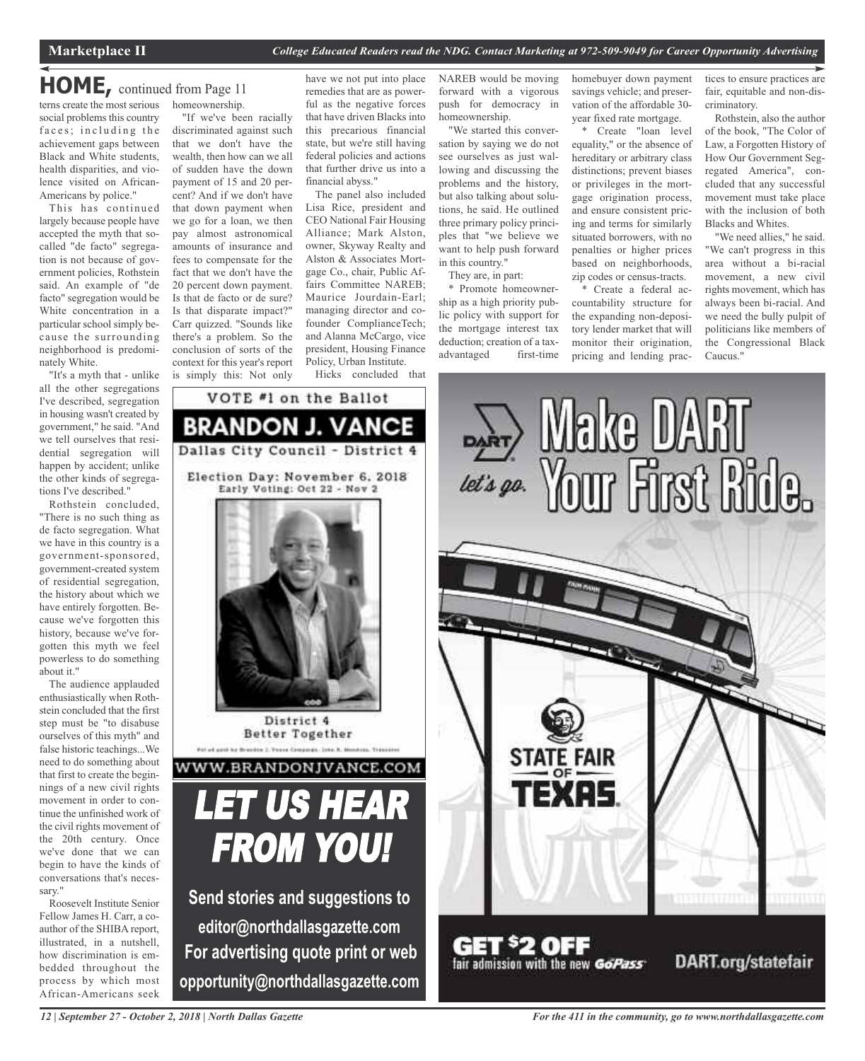### terns create the most serious homeownership. **HOME,** continued from Page <sup>11</sup>

social problems this country faces; including the achievement gaps between Black and White students, health disparities, and violence visited on African-Americans by police."

This has continued largely because people have accepted the myth that socalled "de facto" segregation is not because of government policies, Rothstein said. An example of "de facto" segregation would be White concentration in a particular school simply because the surrounding neighborhood is predominately White.

"It's a myth that - unlike all the other segregations I've described, segregation in housing wasn't created by government," he said. "And we tell ourselves that residential segregation will happen by accident; unlike the other kinds of segregations I've described."

Rothstein concluded, "There is no such thing as de facto segregation. What we have in this country is a government-sponsored, government-created system of residential segregation, the history about which we have entirely forgotten. Because we've forgotten this history, because we've forgotten this myth we feel powerless to do something about it."

The audience applauded enthusiastically when Rothstein concluded that the first step must be "to disabuse ourselves of this myth" and false historic teachings...We need to do something about that first to create the beginnings of a new civil rights movement in order to continue the unfinished work of the civil rights movement of the 20th century. Once we've done that we can begin to have the kinds of conversations that's necessary."

Roosevelt Institute Senior Fellow James H. Carr, a coauthor of the SHIBA report, illustrated, in a nutshell, how discrimination is embedded throughout the process by which most African-Americans seek

"If we've been racially discriminated against such that we don't have the wealth, then how can we all of sudden have the down payment of 15 and 20 percent? And if we don't have that down payment when we go for a loan, we then pay almost astronomical amounts of insurance and fees to compensate for the fact that we don't have the 20 percent down payment. Is that de facto or de sure? Is that disparate impact?" Carr quizzed. "Sounds like

context for this year's report is simply this: Not only

VOTE #1 on the Ballot

**BRANDON J. VANCE** 

Dallas City Council - District 4

Election Day: November 6, 2018 Early Voting: Oct 22 - Nov 2

LET US HEAR

District 4 **Better Together** 

.<br>Pol of good he Newedia 2, Yours Companys, 2004 N. W

FROM YOU!

**Send stories and suggestions to**

**editor@northdallasgazette.com**

**For advertising quote print or web**

**opportunity@northdallasgazette.com**

there's a problem. So the conclusion of sorts of the

have we not put into place remedies that are as powerful as the negative forces that have driven Blacks into this precarious financial state, but we're still having federal policies and actions that further drive us into a financial abyss."

The panel also included Lisa Rice, president and CEO National Fair Housing Alliance; Mark Alston, owner, Skyway Realty and Alston & Associates Mortgage Co., chair, Public Affairs Committee NAREB; Maurice Jourdain-Earl; managing director and cofounder ComplianceTech; and Alanna McCargo, vice president, Housing Finance Policy, Urban Institute.

Hicks concluded that

NAREB would be moving forward with a vigorous push for democracy in homeownership.

"We started this conversation by saying we do not see ourselves as just wallowing and discussing the problems and the history, but also talking about solutions, he said. He outlined three primary policy principles that "we believe we want to help push forward in this country."

They are, in part:

\* Promote homeownership as a high priority public policy with support for the mortgage interest tax deduction; creation of a taxadvantaged first-time homebuyer down payment savings vehicle; and preservation of the affordable 30 year fixed rate mortgage.

\* Create "loan level equality," or the absence of hereditary or arbitrary class distinctions; prevent biases or privileges in the mortgage origination process, and ensure consistent pricing and terms for similarly situated borrowers, with no penalties or higher prices based on neighborhoods, zip codes or census-tracts.

\* Create a federal accountability structure for the expanding non-depository lender market that will monitor their origination, pricing and lending prac-

tices to ensure practices are fair, equitable and non-discriminatory. Rothstein, also the author

of the book, "The Color of Law, a Forgotten History of How Our Government Segregated America", concluded that any successful movement must take place with the inclusion of both Blacks and Whites.

"We need allies," he said. "We can't progress in this area without a bi-racial movement, a new civil rights movement, which has always been bi-racial. And we need the bully pulpit of politicians like members of the Congressional Black Caucus."

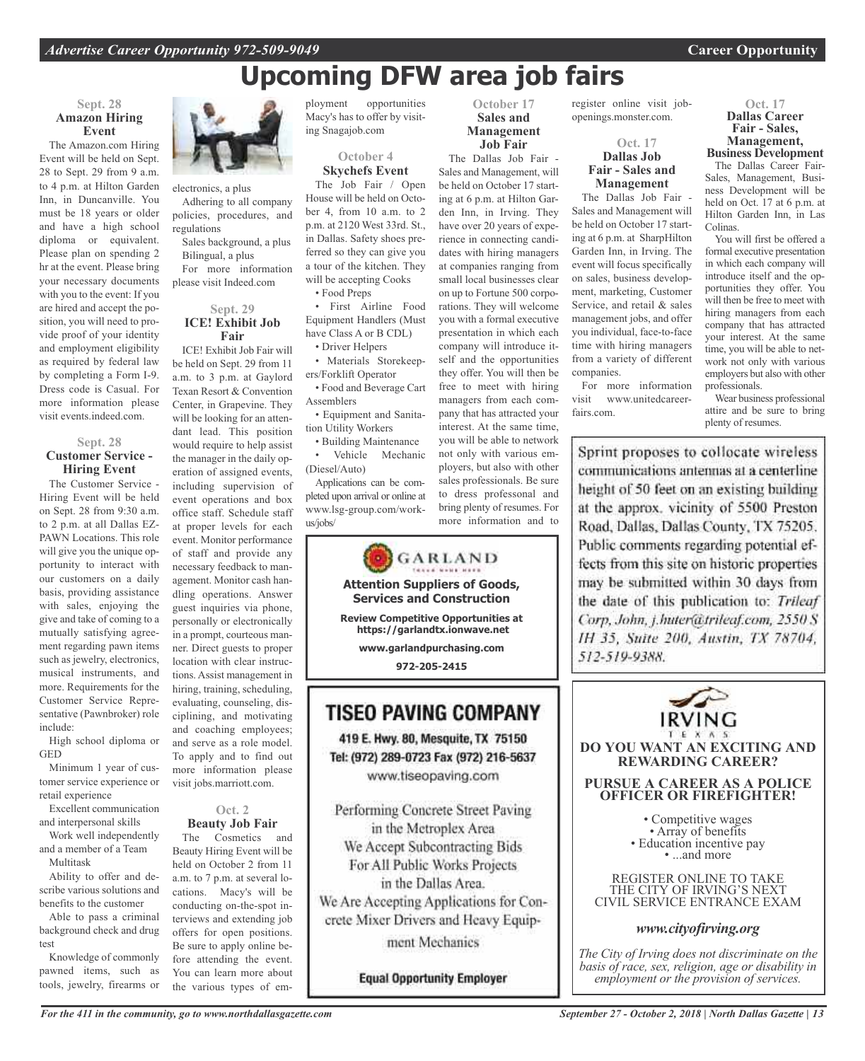# **Upcoming DFW area job fairs**

**October 17 Sales and Management Job Fair** The Dallas Job Fair - Sales and Management, will be held on October 17 starting at 6 p.m. at Hilton Garden Inn, in Irving. They have over 20 years of experience in connecting candidates with hiring managers at companies ranging from small local businesses clear on up to Fortune 500 corporations. They will welcome you with a formal executive presentation in which each company will introduce itself and the opportunities they offer. You will then be free to meet with hiring managers from each company that has attracted your interest. At the same time, you will be able to network not only with various employers, but also with other sales professionals. Be sure to dress professonal and bring plenty of resumes. For more information and to

#### **Sept. 28 Amazon Hiring Event**

The Amazon.com Hiring Event will be held on Sept. 28 to Sept. 29 from 9 a.m. to 4 p.m. at Hilton Garden Inn, in Duncanville. You must be 18 years or older and have a high school diploma or equivalent. Please plan on spending 2 hr at the event. Please bring your necessary documents with you to the event: If you are hired and accept the position, you will need to provide proof of your identity and employment eligibility as required by federal law by completing a Form I-9. Dress code is Casual. For more information please visit events.indeed.com.

#### **Sept. 28 Customer Service - Hiring Event**

The Customer Service - Hiring Event will be held on Sept. 28 from 9:30 a.m. to 2 p.m. at all Dallas EZ-PAWN Locations. This role will give you the unique opportunity to interact with our customers on a daily basis, providing assistance with sales, enjoying the give and take of coming to a mutually satisfying agreement regarding pawn items such as jewelry, electronics, musical instruments, and more. Requirements for the Customer Service Representative (Pawnbroker) role include:

High school diploma or GED

Minimum 1 year of customer service experience or retail experience

Excellent communication and interpersonal skills

Work well independently and a member of a Team

Multitask Ability to offer and describe various solutions and benefits to the customer

Able to pass a criminal background check and drug test

Knowledge of commonly pawned items, such as tools, jewelry, firearms or



electronics, a plus Adhering to all company policies, procedures, and regulations

Sales background, a plus Bilingual, a plus

For more information please visit Indeed.com

#### **Sept. 29 ICE! Exhibit Job Fair**

ICE! Exhibit Job Fair will be held on Sept. 29 from 11 a.m. to 3 p.m. at Gaylord Texan Resort & Convention Center, in Grapevine. They will be looking for an attendant lead. This position would require to help assist the manager in the daily operation of assigned events, including supervision of event operations and box office staff. Schedule staff at proper levels for each event. Monitor performance of staff and provide any necessary feedback to management. Monitor cash handling operations. Answer guest inquiries via phone, personally or electronically in a prompt, courteous manner. Direct guests to proper location with clear instructions. Assist management in hiring, training, scheduling, evaluating, counseling, disciplining, and motivating and coaching employees; and serve as a role model. To apply and to find out more information please visit jobs.marriott.com.

#### **Oct. 2 Beauty Job Fair**

The Cosmetics and Beauty Hiring Event will be held on October 2 from 11 a.m. to 7 p.m. at several locations. Macy's will be conducting on-the-spot interviews and extending job offers for open positions. Be sure to apply online before attending the event. You can learn more about the various types of employment opportunities Macy's has to offer by visiting Snagajob.com

> **October 4 Skychefs Event**

The Job Fair / Open House will be held on October 4, from 10 a.m. to 2 p.m. at 2120 West 33rd. St., in Dallas. Safety shoes preferred so they can give you a tour of the kitchen. They will be accepting Cooks • Food Preps

• First Airline Food

Equipment Handlers (Must have Class A or B CDL) • Driver Helpers

• Materials Storekeepers/Forklift Operator

• Food and Beverage Cart Assemblers

• Equipment and Sanitation Utility Workers

• Building Maintenance • Vehicle Mechanic (Diesel/Auto)

Applications can be completed upon arrival or online at www.lsg-group.com/workus/jobs/



**TISEO PAVING COMPANY** 

419 E. Hwy. 80, Mesquite, TX 75150 Tel: (972) 289-0723 Fax (972) 216-5637 www.tiseopaving.com

Performing Concrete Street Paving in the Metroplex Area We Accept Subcontracting Bids For All Public Works Projects in the Dallas Area. We Are Accepting Applications for Concrete Mixer Drivers and Heavy Equip-

ment Mechanics

**Equal Opportunity Employer** 

register online visit jobopenings.monster.com.

#### **Oct. 17 Dallas Job Fair - Sales and Management**

The Dallas Job Fair - Sales and Management will be held on October 17 starting at 6 p.m. at SharpHilton Garden Inn, in Irving. The event will focus specifically on sales, business development, marketing, Customer Service, and retail & sales management jobs, and offer you individual, face-to-face time with hiring managers from a variety of different companies.

For more information visit www.unitedcareerfairs.com.

## **Oct. 17 Dallas Career Fair - Sales, Management, Business Development**

The Dallas Career Fair-Sales, Management, Business Development will be held on Oct. 17 at 6 p.m. at Hilton Garden Inn, in Las Colinas.

You will first be offered a formal executive presentation in which each company will introduce itself and the opportunities they offer. You will then be free to meet with hiring managers from each company that has attracted your interest. At the same time, you will be able to network not only with various employers but also with other professionals.

Wear business professional attire and be sure to bring plenty of resumes.

Sprint proposes to collocate wireless communications antennas at a centerline height of 50 feet on an existing building at the approx, vicinity of 5500 Preston Road, Dallas, Dallas County, TX 75205. Public comments regarding potential effects from this site on historic properties may be submitted within 30 days from the date of this publication to: Trileaf Corp, John, j.huter@trileaf.com, 2550 S IH 35, Suite 200, Austin, TX 78704, 512-519-9388.



*The City of Irving does not discriminate on the basis of race, sex, religion, age or disability in employment or the provision of services.*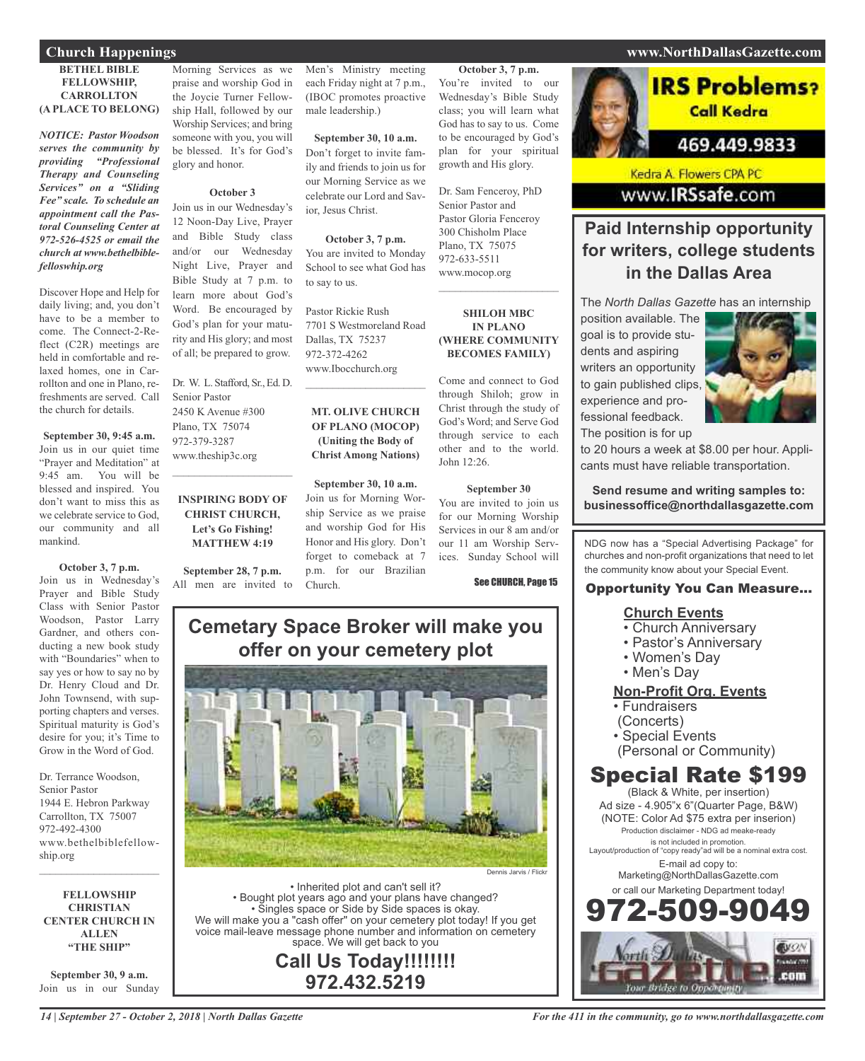#### **BETHEL BIBLE FELLOWSHIP, CARROLLTON (A PLACE TO BELONG)**

*NOTICE: Pastor Woodson serves the community by providing "Professional Therapy and Counseling Services" on a "Sliding Fee" scale. To schedule an appointment call the Pastoral Counseling Center at 972-526-4525 or email the church at www.bethelbiblefelloswhip.org*

Discover Hope and Help for daily living; and, you don't have to be a member to come. The Connect-2-Reflect (C2R) meetings are held in comfortable and relaxed homes, one in Carrollton and one in Plano, refreshments are served. Call the church for details.

**September 30, 9:45 a.m.** Join us in our quiet time "Prayer and Meditation" at 9:45 am. You will be blessed and inspired. You don't want to miss this as we celebrate service to God, our community and all mankind.

**October 3, 7 p.m.** Join us in Wednesday's Prayer and Bible Study Class with Senior Pastor Woodson, Pastor Larry Gardner, and others conducting a new book study with "Boundaries" when to say yes or how to say no by Dr. Henry Cloud and Dr. John Townsend, with supporting chapters and verses. Spiritual maturity is God's desire for you; it's Time to Grow in the Word of God.

Dr. Terrance Woodson, Senior Pastor 1944 E. Hebron Parkway Carrollton, TX 75007 972-492-4300 www.bethelbiblefellowship.org

**FELLOWSHIP CHRISTIAN CENTER CHURCH IN ALLEN "THE SHIP"**

 $\mathcal{L}_\text{max}$  , which is a set of the set of the set of the set of the set of the set of the set of the set of the set of the set of the set of the set of the set of the set of the set of the set of the set of the set of

**September 30, 9 a.m.** Join us in our Sunday

Morning Services as we praise and worship God in the Joycie Turner Fellowship Hall, followed by our Worship Services; and bring someone with you, you will be blessed. It's for God's glory and honor.

#### **October 3**

Join us in our Wednesday's 12 Noon-Day Live, Prayer and Bible Study class and/or our Wednesday Night Live, Prayer and Bible Study at 7 p.m. to learn more about God's Word. Be encouraged by God's plan for your maturity and His glory; and most of all; be prepared to grow.

Dr. W. L. Stafford, Sr., Ed. D. Senior Pastor 2450 K Avenue #300 Plano, TX 75074 972-379-3287 www.theship3c.org  $\mathcal{L}_\text{max}$  and  $\mathcal{L}_\text{max}$  and  $\mathcal{L}_\text{max}$ 

#### **INSPIRING BODY OF CHRIST CHURCH, Let's Go Fishing! MATTHEW 4:19**

**September 28, 7 p.m.** All men are invited to

Men's Ministry meeting each Friday night at 7 p.m., (IBOC promotes proactive male leadership.)

**September 30, 10 a.m.** Don't forget to invite family and friends to join us for our Morning Service as we celebrate our Lord and Savior, Jesus Christ.

#### **October 3, 7 p.m.**

You are invited to Monday School to see what God has to say to us.

Pastor Rickie Rush 7701 S Westmoreland Road Dallas, TX 75237 972-372-4262 www.Ibocchurch.org

#### **MT. OLIVE CHURCH OF PLANO (MOCOP) (Uniting the Body of Christ Among Nations)**

 $\mathcal{L}$  , and the set of the set of the set of the set of the set of the set of the set of the set of the set of the set of the set of the set of the set of the set of the set of the set of the set of the set of the set

**September 30, 10 a.m.** Join us for Morning Worship Service as we praise and worship God for His Honor and His glory. Don't forget to comeback at 7 p.m. for our Brazilian Church.

**October 3, 7 p.m.** You're invited to our Wednesday's Bible Study class; you will learn what God has to say to us. Come to be encouraged by God's plan for your spiritual growth and His glory.

Dr. Sam Fenceroy, PhD Senior Pastor and Pastor Gloria Fenceroy 300 Chisholm Place Plano, TX 75075 972-633-5511 www.mocop.org  $\mathcal{L}$  , and the set of the set of the set of the set of the set of the set of the set of the set of the set of the set of the set of the set of the set of the set of the set of the set of the set of the set of the set

#### **SHILOH MBC IN PLANO (WHERE COMMUNITY BECOMES FAMILY)**

Come and connect to God through Shiloh; grow in Christ through the study of God's Word; and Serve God through service to each other and to the world. John 12:26.

#### **September 30**

You are invited to join us for our Morning Worship Services in our 8 am and/or our 11 am Worship Services. Sunday School will

#### See CHURCH, Page 15

# **Cemetary Space Broker will make you offer on your cemetery plot**



• Inherited plot and can't sell it? • Bought plot years ago and your plans have changed? • Singles space or Side by Side spaces is okay. We will make you a "cash offer" on your cemetery plot today! If you get voice mail-leave message phone number and information on cemetery space. We will get back to you

**Call Us Today!!!!!!!! 972.432.5219**

#### **Church Happenings www.NorthDallasGazette.com**

Call Kedra

**IRS Problems?** 

## 469.449.9833

Kedra A. Flowers CPA PC www.IRSsafe.com

## **Paid Internship opportunity for writers, college students in the Dallas Area**

The *North Dallas Gazette* has an internship

position available. The goal is to provide students and aspiring writers an opportunity to gain published clips, experience and professional feedback. The position is for up



to 20 hours a week at \$8.00 per hour. Applicants must have reliable transportation.

**Send resume and writing samples to: businessoffice@northdallasgazette.com**

NDG now has a "Special Advertising Package" for churches and non-profit organizations that need to let the community know about your Special Event.

#### Opportunity You Can Measure...

#### **Church Events**

- Church Anniversary
- Pastor's Anniversary
- Women's Day
- Men's Day

#### **Non-Profit Org. Events**

- Fundraisers
- (Concerts)
- Special Events
- (Personal or Community)

# Special Rate \$199

(Black & White, per insertion) Ad size - 4.905"x 6"(Quarter Page, B&W) (NOTE: Color Ad \$75 extra per inserion) Production disclaimer - NDG ad meake-ready is not included in promotion. Layout/production of "copy ready"ad will be a nominal extra cost. E-mail ad copy to: Marketing@NorthDallasGazette.com or call our Marketing Department today! 972-509-9049

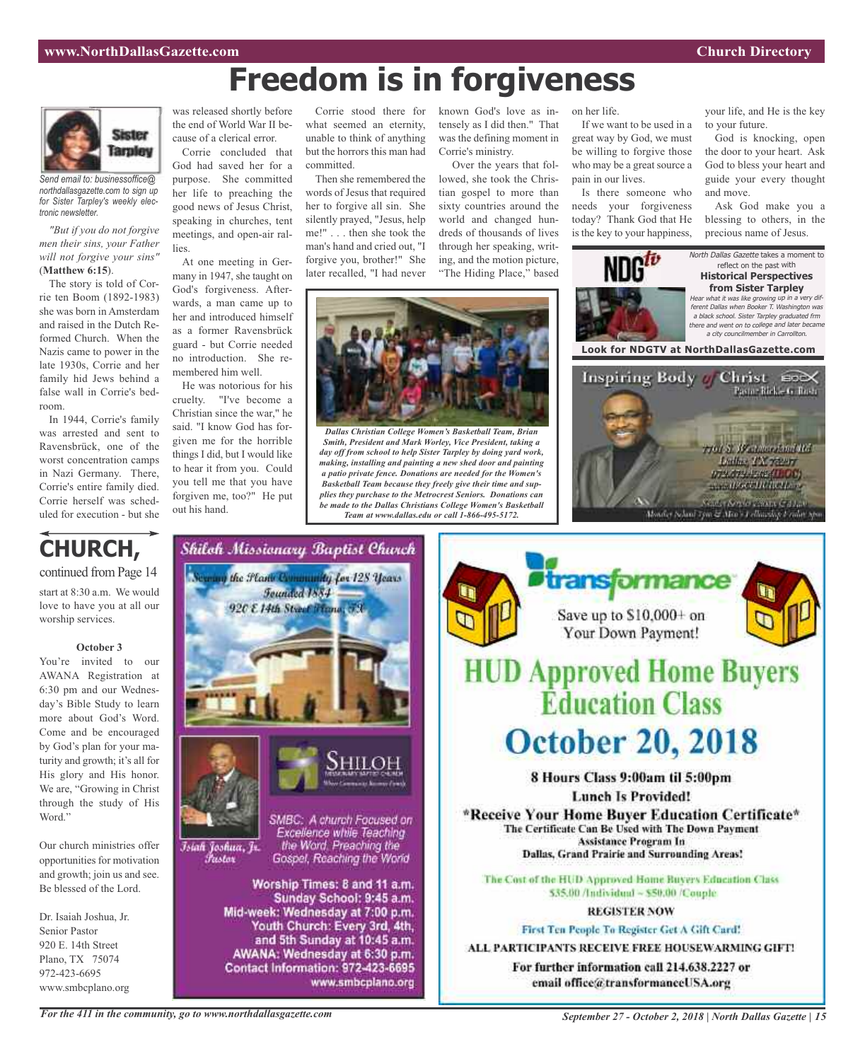# **Freedom is in forgiveness**



*Send email to: businessoffice@ northdallasgazette.com to sign up for Sister Tarpley's weekly electronic newsletter.*

*"But if you do not forgive men their sins, your Father will not forgive your sins"* (**Matthew 6:15**).

The story is told of Corrie ten Boom (1892-1983) she was born in Amsterdam and raised in the Dutch Reformed Church. When the Nazis came to power in the late 1930s, Corrie and her family hid Jews behind a false wall in Corrie's bedroom.

In 1944, Corrie's family was arrested and sent to Ravensbrück, one of the worst concentration camps in Nazi Germany. There, Corrie's entire family died. Corrie herself was scheduled for execution - but she



Word."

opportunities for motivation and growth; join us and see. Be blessed of the Lord.

Dr. Isaiah Joshua, Jr. Senior Pastor 920 E. 14th Street Plano, TX 75074 972-423-6695 www.smbcplano.org

was released shortly before the end of World War II because of a clerical error.

Corrie concluded that God had saved her for a purpose. She committed her life to preaching the good news of Jesus Christ, speaking in churches, tent meetings, and open-air rallies.

At one meeting in Germany in 1947, she taught on God's forgiveness. Afterwards, a man came up to her and introduced himself as a former Ravensbrück guard - but Corrie needed no introduction. She remembered him well.

He was notorious for his cruelty. "I've become a Christian since the war," he said. "I know God has forgiven me for the horrible things I did, but I would like to hear it from you. Could you tell me that you have forgiven me, too?" He put out his hand.

what seemed an eternity, unable to think of anything but the horrors this man had committed.

Then she remembered the words of Jesus that required her to forgive all sin. She silently prayed, "Jesus, help me!" . . . then she took the man's hand and cried out, "I forgive you, brother!" She later recalled, "I had never

Corrie stood there for known God's love as intensely as I did then." That was the defining moment in Corrie's ministry.

Over the years that followed, she took the Christian gospel to more than sixty countries around the world and changed hundreds of thousands of lives through her speaking, writing, and the motion picture, "The Hiding Place," based



*Dallas Christian College Women's Basketball Team, Brian Smith, President and Mark Worley, Vice President, taking a day off from school to help Sister Tarpley by doing yard work, making, installing and painting a new shed door and painting a patio private fence. Donations are needed for the Women's Basketball Team because they freely give their time and supplies they purchase to the Metrocrest Seniors. Donations can be made to the Dallas Christians College Women's Basketball Team at www.dallas.edu or call 1-866-495-5172.*

If we want to be used in a great way by God, we must be willing to forgive those who may be a great source a pain in our lives.

on her life.

Is there someone who needs your forgiveness today? Thank God that He is the key to your happiness,

your life, and He is the key to your future.

God is knocking, open the door to your heart. Ask God to bless your heart and guide your every thought and move.

Ask God make you a blessing to others, in the precious name of Jesus.

North Dallas Gazette takes a moment to reflect on the past with **Historical Perspectives from Sister Tarpley**

Hear what it was like growing up in <sup>a</sup> very different Dallas when Booker T. Washington was <sup>a</sup> black school. Sister Tarpley graduated frm there and went on to college and later became <sup>a</sup> city councilmember in Carrollton.

**Look for NDGTV at NorthDallasGazette.com**





www.smbcplano.org



*For the 411 in the community, go to www.northdallasgazette.com*

*September 27 - October 2, 2018 | North Dallas Gazette | 15*